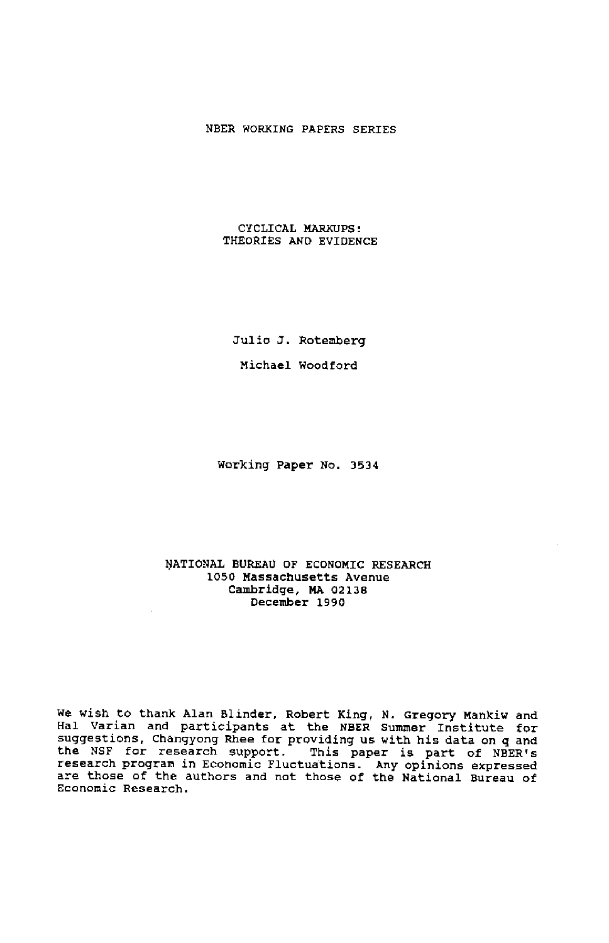#### NBER WORKING PAPERS SERIES

#### CYCLICAL MARXIJPS: THEORIES AND EVIDENCE

Julio J. Rotemberg

Michael Wood ford

Working Paper No. 3534

#### NATIONAL BUREAU OF ECONOMIC RESEARCH 1050 Massachusetts Avenue Cambridge, MA 02138 December 1990

We wish to thank Alan Blinder, Robert King, N. Gregory Mankiw and Hal Varian and participants at the NBER Summer Institute for suggestions, Changyong Rhee for providing us with his data on q and the NSF for research support. This paper is part of NBER!s research program in Economic Fluctuations. Any opinions expressed are those of the authors and not those of the National Bureau of Economic Research.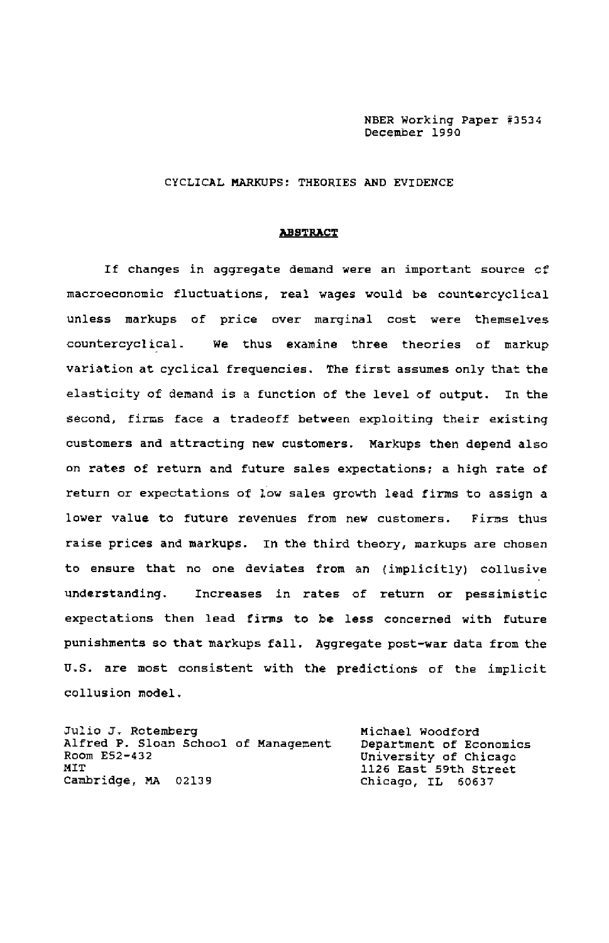NEER Working Paper #3534 December <sup>1990</sup>

#### CYCLICAL MARKUPS: THEORIES AND EVIDENCE

#### ABSTRACT

If Changes in aggregate demand were an important source of macroeconomic fluctuations, real wages would be countercyclical unless markups of price over marginal cost were themselves countercyclical. We thus examine three theories of markup variation at cyclical frequenciea. The first assumes only that the elasticity of demand is a function of the level of output. In the second, firma face a tradeoff between exploiting their existing customers and attracting new customers. Markups then depend also on rates of return and future sales expectations; a high rate of return or expectations of low sales growth lead firms to assign a lower value to future revenuea from new customers. Firma thus raise prices and markups. In the third theory, markups are chosen to ensure that no one deviates from an (implicitly) collusive understanding. Increases in rates of return or pessimistic expectationa then lead firms to be less concerned with future punishments so that markups fall. Aggregate post-war data from the U.S. are most consistent with the predictions of the implicit collusion model.

| Julio J. Rotemberg                   | Michael Woodford        |
|--------------------------------------|-------------------------|
| Alfred P. Sloan School of Management | Department of Economics |
| Room E52-432                         | University of Chicago   |
| MÏT                                  | 1126 East 59th Street   |
| Cambridge, MA 02139                  | Chicago, IL 60637       |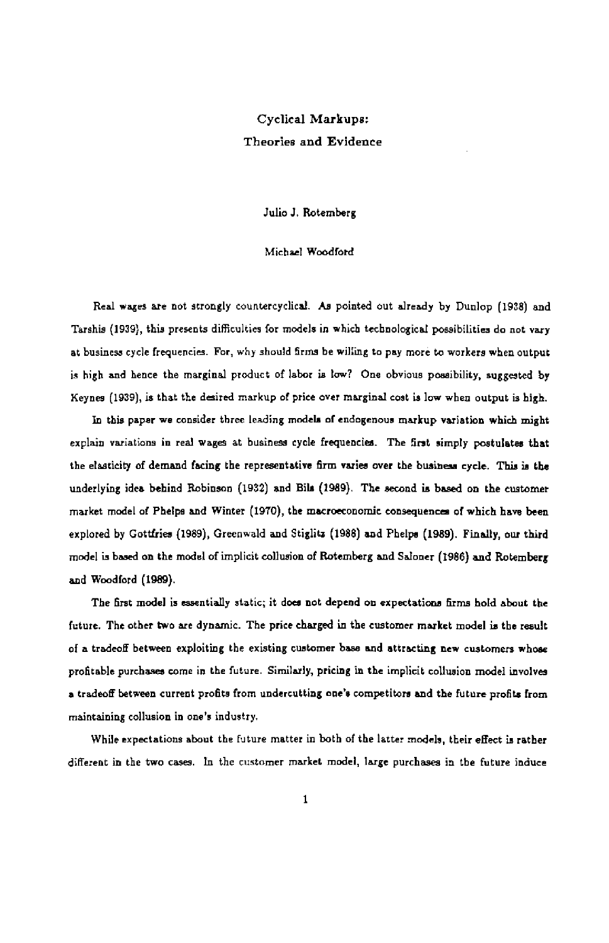# Cyclical Markups: Theories and Evidence

Julio J. Rotemberg

#### Michael Woodford

Real wages are not strongly countercyclical. As pointed out already by Dunlop (1938) and Tarshis (1939), this presents difficulties for models in which technological possibilities do not vary at business cycle frequencies. For, why should firms be willing to pay more to workers when output is high and hence the marginal product of labor is low? One obvious possibility, suggested by Keynes (1939), is that the desired markup of price over marginal cost is low when output is high.

In this paper we consider three leading models of endngenous markup variation which might explain variations in real wages at business cycle frequencies. The first simply postulates that the elasticity of demand facing the representative firm varies over the business cycle. This is the underlying idea behind Robinson (1932) and Ella (1989). The second is based on the customer market model of Phelps and Winter (1970), the macroeconomic consequences of which have been explored by Gottfries (1989), Greenwald and Stiglits (1988) and Phelps (1989). Finally, nor third model is based on the model of implicit collusion of Rotemberg and Saloner (1986) and R.otemberg and Woodford (1989).

The first model is essentially static; it does not depend on expectations firms hold about the future. The other two are dynamic. The price charged in the customer market model is the result of a tradeoff between exploiting the existing customer base and attracting new customers whose profitable purchases come in the future. Similarly, pricing in the implicit collusion model involves a tradeoff between current profits from undercutting one's competitors and the future profits from maintaining collusion in one's industry.

While expectations about the future matter in both of the latter models, their effect is rather different in the two cases. In the customer market model, large purchases in the future induce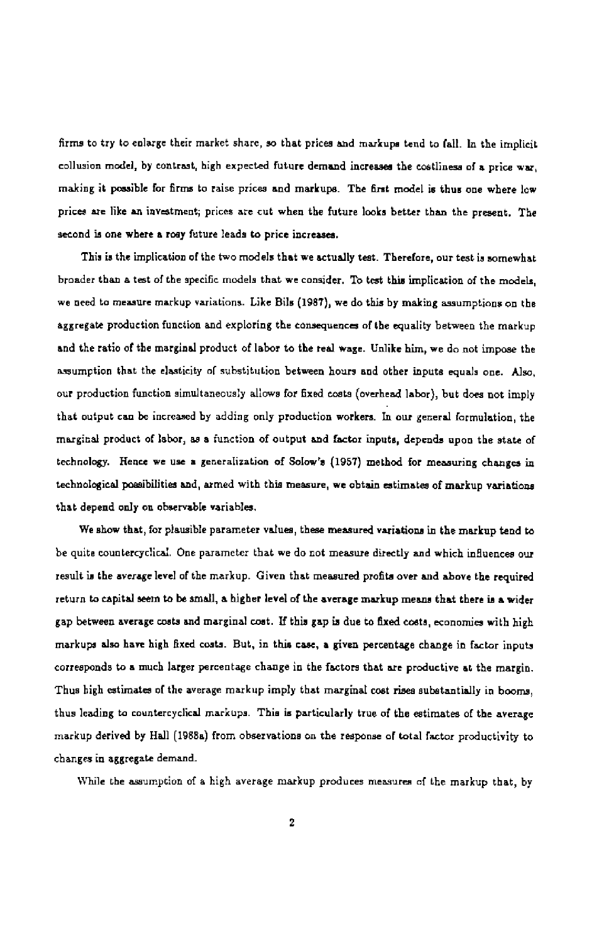firms to try to enlarge their market share, so that prices and markups tend to (all. In the implicit collusion model, by contrast, high expected future demand increases the costliness of a price war, making it possible for firms to raise prices and markups. The first model is thus one where low prices are like an investment; prices are cut when the future looks better than the present. The second is one where a rosy future leads to price increases.

This is the implication of the two models that we actually test. Therefore, our test is somewhat broader than a test of the specific models that we consider. To test this implication of the models, we need to measure markup variations. Like Bils (1987), we do this by making assumptions on the aggregate production function and exploring the consequences of the equality between the markup and the ratio of the marginal product of labor to the real wage. Unlike him, we do not impose the assumption that the elasticity of substitution between hours and other inpute equals one. Also, our production function simultaneously allows for fixed costs (overhead labor), but does not imply that output can be increased by adding only production workers. In our general formulation, the marginal product of labor, as a function of output and factor inpute, depends upon the state of technology. Hence we use a generalization of Solow's (1957) method for measuring changes in technological possibilities and, armed with this measure, we obtain estimates of markup variations that depend only on observable variables.

We show that, for plausible parameter values, these measured variations in the markup tend to be quite countercyclicaL One parameter that we do not measure directly and which influences our result is the avrragr level of the markup. Given that measured profits over and above the required return to capital seem to be small, a higher level of the average markup means that there is a wider gap between average costs and marginal cost. If this gap is due to fixed costs, economies with high markups also have high fixed costs. But, in this case, a given percentage change in factor inputs corresponds to a much larger percentage change in the factors that are productive at the margin. Thus high estimates of the average markup imply that marginal cost rises substantially in booms, thus leading to couotercyclical markups. This is particularly true of the estimates of tbe average markup derived by Hall (1988a) from observations on the response of total factor productivity to changes in aggregate demand.

While the assumption of a high average markup produces measures of the markup that, by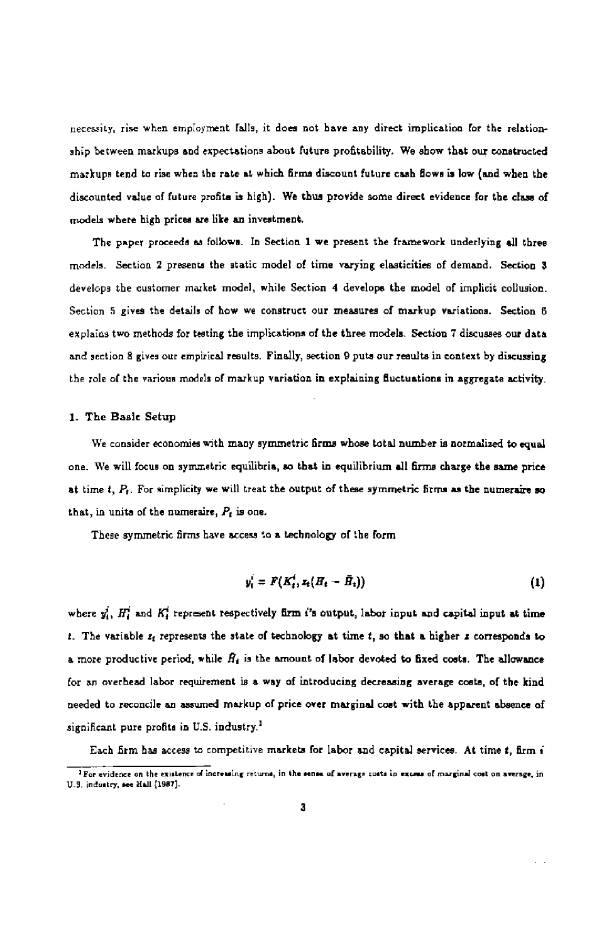necessity, rise when employment falls it does not have any direct implication for the relationship between markups and expectations about future profitability. We show that our constructed markups tend to rise when the rate at which firma discount future cash flows is low (and when the discounted value of future profits is high). We thus provide some direct evidence for the class of models where high prices are like an investment.

The paper proceeds as follows. In Section 1 we present the framework underlying all three models. Section 2 presents the static model of time varying elasticities of demand. Section 3 develops the customer market model, while Section 4 develops the model of implicit collusion. Section 5 gives the details of how we construct our measures of markup variations. Section 6 explains two methods for testing the implications of the three models. Section 7 discusses our data and section 8 gives our empirical results. Finally, section 9 puts our results in context by discussing the role of the various models of markup variation in explaining fluctuations in aggregate activity.

#### 1. The Basic Setup

We consider economies with many symmetric firms whose total number is normalized to equal one We will focus on symmetric equilibria, so that in equilibrium all firms charge the same price at time  $t$ ,  $P_t$ . For simplicity we will treat the output of these symmetric firms as the numeraire so that, in units of the numeraire,  $P_t$  is one.

These symmetric firms have access to a technology of the form

$$
y_t^i = F(K_t^i, z_t(H_t - \bar{H}_t))
$$
\n(1)

where  $y_i^i$ ,  $H_i^i$  and  $K_i^i$  represent respectively firm i's output, labor input and capital input at time t. The variable  $z_1$  represents the state of technology at time t, so that a higher  $z$  corresponds to a more productive period, while  $\hat{H}_1$  is the amount of labor devoted to fixed costs. The allowance for an overhead labor requirement is a way of introducing decreasing average costs, of the kind needed to reconcile an assumed markup of price over marginal cost with the apparent absence of significant pure profits in U.S. industry.<sup>1</sup>

Each firm has access to competitive markets for labor and capital services. At time t, firm i  $\frac{1}{1}$  For evidence on the existence of increming returns, in the sense of average costs in excess of marginal cost on average, in U.S. inclustry, see Hall (1987).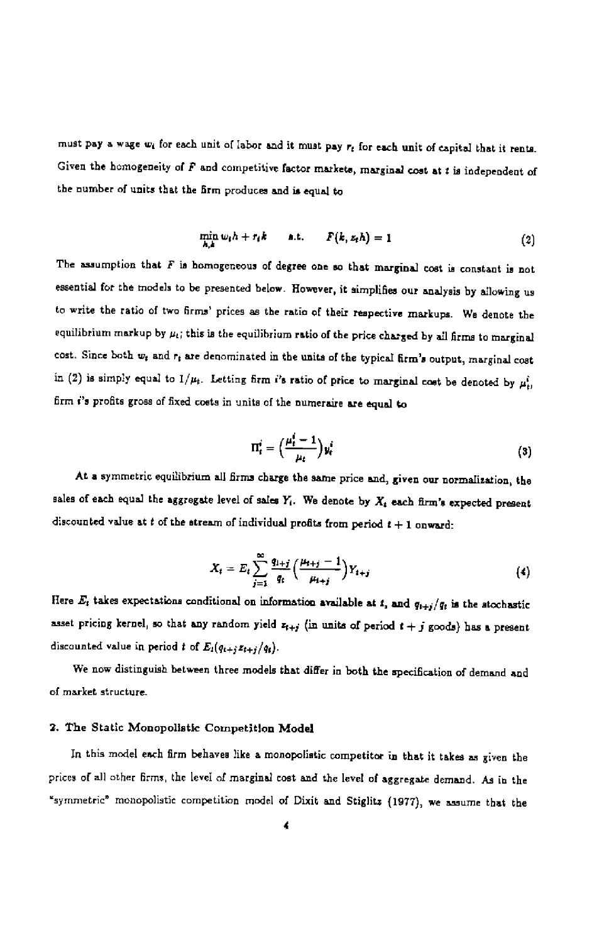must pay a wage  $w_i$  for each unit of labor and it must pay  $r_i$  for each unit of capital that it rents. Given the homogeneity of  $F$  and competitive factor markets, marginal cost at  $t$  is independent of the number of units that the firm produces and is equal to

$$
\min_{h,k} w_i h + r_i k \qquad \text{a.t.} \qquad F(k, z_i h) = 1 \tag{2}
$$

The assumption that  $F$  is homogeneous of degree one so that marginal cost is constant is not essential for the models to be presented below. However, it simplifies our analysis by allowing us to write the ratio of two firms' prices as the ratio of their respective markups. We denote the equilibrium markup by  $\mu_i$ ; this is the equilibrium ratio of the price charged by all firms to marginal cost. Since both  $w_t$  and  $r_t$  are denominated in the units of the typical firm's output, marginal cost in (2) is simply equal to  $1/\mu_t$ . Letting firm i's ratio of price to marginal cost be denoted by  $\mu_t^i$ . firm i's profits gross of fixed coats in units of the numeraire are equal to

$$
\Pi_t^i = \left(\frac{\mu_t^i - 1}{\mu_t}\right) y_t^i \tag{3}
$$

At a symmetric equilibrium all firms charge the same price and, given our normalization, the sales of each equal the aggregate level of sales  $Y_t$ . We denote by  $X_t$  each firm's expected present discounted value at  $t$  of the stream of individual profits from period  $t + 1$  onward:

$$
X_t = E_t \sum_{j=1}^{\infty} \frac{q_{1+j}}{q_i} \left( \frac{\mu_{t+j} - 1}{\mu_{t+j}} \right) Y_{t+j} \tag{4}
$$

Here  $E_t$  takes expectations conditional on information available at 1, and  $q_{t+j}/q_t$  is the stochastic asset pricing kernel, so that any random yield  $z_{t+j}$  (in units of period  $t+j$  goods) has a present discounted value in period t of  $E_i(q_{t+j}z_{t+j}/q_i)$ .

We now distinguish between three models that differ in both the specification of demand and of market structure.

#### 2. The Static Monopolistic Competition Model

In this model each firm behaves like a monopolistic competitor in that it takes as given the prices of all other firms, the level of marginal cost and the level of aggregate demand. As in the "symmetric" monopolistic competition model of Dixit and Stiglits (1977), we assume that the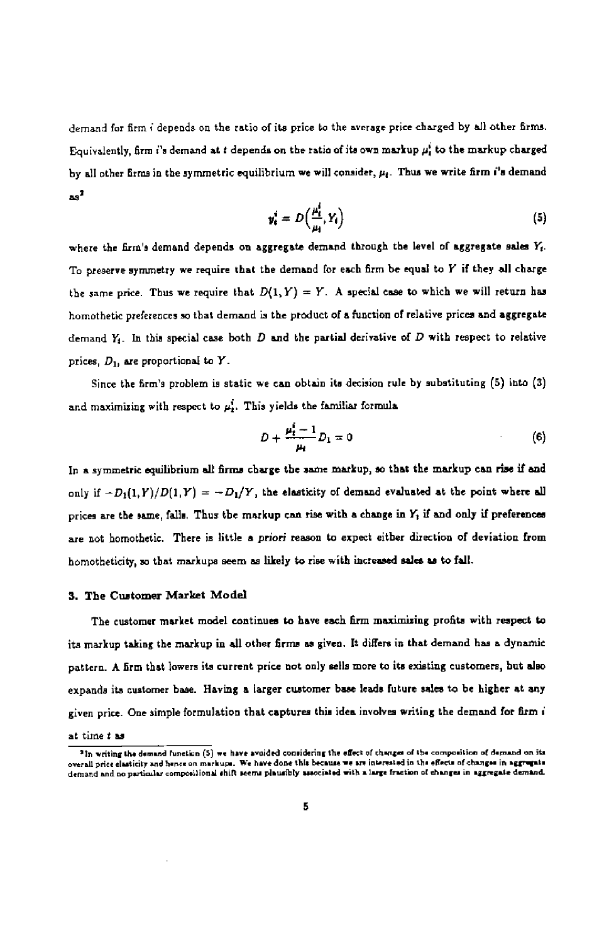demand for firm i depends on the ratio of its price to the average puce charged by all other firms. Equivalently, firm i's demand at t depends on the ratio of its own markup  $\mu_t^i$  to the markup charged by all other firms in the symmetric equilibrium we will consider,  $\mu_t$ . Thus we write firm i's demand as

$$
y_t^i = D\left(\frac{\mu_t^i}{\mu_t}, Y_t\right) \tag{5}
$$

where the firm's demand depends on aggregate demand through the level of aggregate sales  $Y_t$ . To preserve symmetry we require that the demand for each firm be equal to Y if they all charge the same price. Thus we require that  $D(1, Y) = Y$ . A special case to which we will return has homothetic preferences so that demand is the product of a function of relative prices and aggregate demand  $Y_i$ . In this special case both  $D$  and the partial derivative of  $D$  with respect to relative prices,  $D_1$ , are proportional to Y.

Since the firm's problem is static we can obtain its decision rule by substituting (5) into (3) and maximizing with respect to  $\mu_t$ . This yields the familiar formula

$$
D + \frac{\mu_t^i - 1}{\mu_t} D_1 = 0 \tag{6}
$$

In a symmetric equilibrium all firms charge the same markup, so that the markup can rise if and only if  $-D_1(1,Y)/D(1,Y) = -D_1/Y$ , the elasticity of demand evaluated at the point where all prices are the same, falls. Thus the markup can rise with a change in  $Y_t$  if and only if preferences are not homothetic. There is little a priori reason to expect either direction of deviation from homotheticity, so that markups seem as likely to rise with increased sales as to fall.

#### 3. The Customer Market Model

The customer market model continues to have each firm maximizing profits with respect to its markup taking the markup in all other firms as given. It differs in that demand has a dyoamic pattern. A firm that lowers its current price not only sells more to its existing customers, hut also expands its customer base. Having a larger customer base leads future sales to be higher at any given price. One simple formulation that captures this idea involves writing the demand for firm i

#### at time t as

 $^2$ In writing the demand function (S) we have avoided comsidering the effect of changes of the composition of demand on its. overall price elasticity and hence on markups. We have done this because we are interested in the effects of changes in aggrupsis<br>demand and no particular compositional shift seems plausibly associated with a large fractio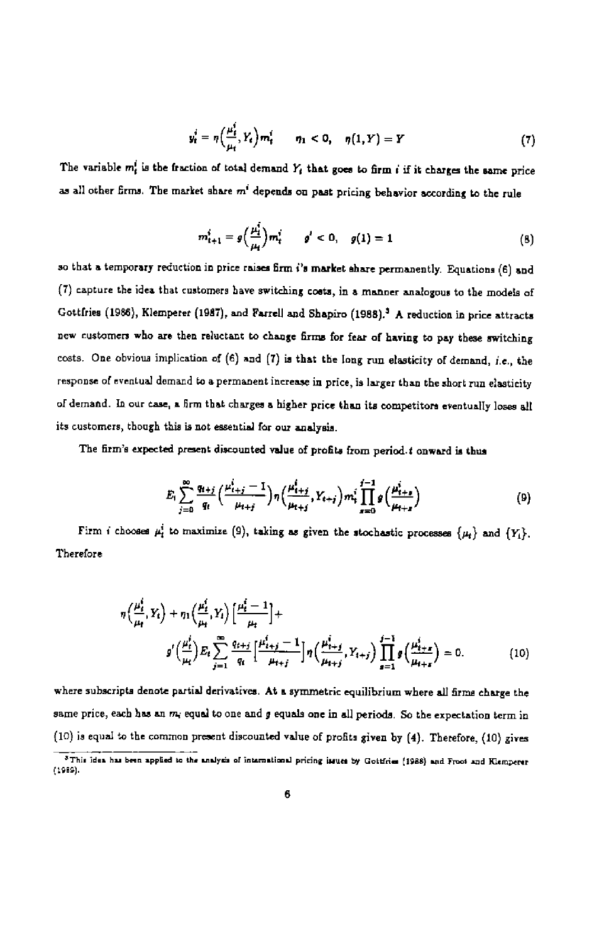$$
y_t^i = \eta\Big(\frac{\mu_t^i}{\mu_t}, Y_t\Big) m_t^i \qquad \eta_1 < 0, \quad \eta(1, Y) = Y \tag{7}
$$

The variable  $m_t^i$  is the fraction of total demand  $Y_t$  that goes to firm i if it charges the same price as all other firms. The market share  $m^i$  depends on past pricing behavior according to the rule

$$
m_{t+1}^{i} = g\left(\frac{\mu_{i}^{i}}{\mu_{i}}\right) m_{t}^{i} \qquad g' < 0, \quad g(1) = 1
$$
 (8)

so that a temporary reduction in price raises firm i's market share permanently. Equations (6) and (7) capture the idea that customers have switching costs, in a manner analogous to the models of Gottfries (1986), Klemperer (1987), and Farrell and Shapiro (1988).<sup>3</sup> A reduction in price attracts new cuatomers who are then reluctant to change firms for fear of having to pay these switching costs. One obvious implication of  $(6)$  and  $(7)$  is that the long run elasticity of demand, i.e., the response of eventual demand to a permanent increase in price, is larger than the short run elasticity of demand. in our case, a firm that charges a higher price than its competitors eventually loses all its customers, though this is not essential for our analysis.

The firm's expected present discounted value of profits from period, t onward is thus

$$
E_{i} \sum_{j=0}^{\infty} \frac{q_{i+j}}{q_{i}} \left(\frac{\mu_{i+j}^{i}-1}{\mu_{i+j}}\right) \eta \left(\frac{\mu_{i+j}^{i}}{\mu_{i+j}}, Y_{i+j}\right) m_{i}^{i} \prod_{s=0}^{j-1} g\left(\frac{\mu_{i+s}^{i}}{\mu_{i+s}}\right)
$$
(9)

Firm i chooses  $\mu_i^i$  to maximize (9), taking as given the stochastic processes  $\{\mu_i\}$  and  $\{Y_i\}$ . Therefore

$$
\eta\left(\frac{\mu_t^i}{\mu_t}, Y_t\right) + \eta_1\left(\frac{\mu_t^i}{\mu_t}, Y_t\right) \left[\frac{\mu_t^i - 1}{\mu_t}\right] +
$$
\n
$$
g'\left(\frac{\mu_t^i}{\mu_t}\right) E_t \sum_{j=1}^{\infty} \frac{q_{t+j}}{q_t} \left[\frac{\mu_{t+j}^i - 1}{\mu_{t+j}}\right] \eta\left(\frac{\mu_{t+j}^i}{\mu_{t+j}}, Y_{t+j}\right) \prod_{s=1}^{j-1} g\left(\frac{\mu_{t+s}^i}{\mu_{t+s}}\right) = 0. \tag{10}
$$

where suhscripts denote partial derivatives. At a symmetric equilibrium where all firms charge the same price, each has an  $m_i$  equal to one and g equals one in all periods. So the expectation term in (10) is equal to the common present discounted value of profits given by  $(4)$ . Therefore,  $(10)$  gives

<sup>3</sup>This idea has been applied to the analysis of international pricing insues by Gottfries [1988] and Froot and Klemperer (1gm).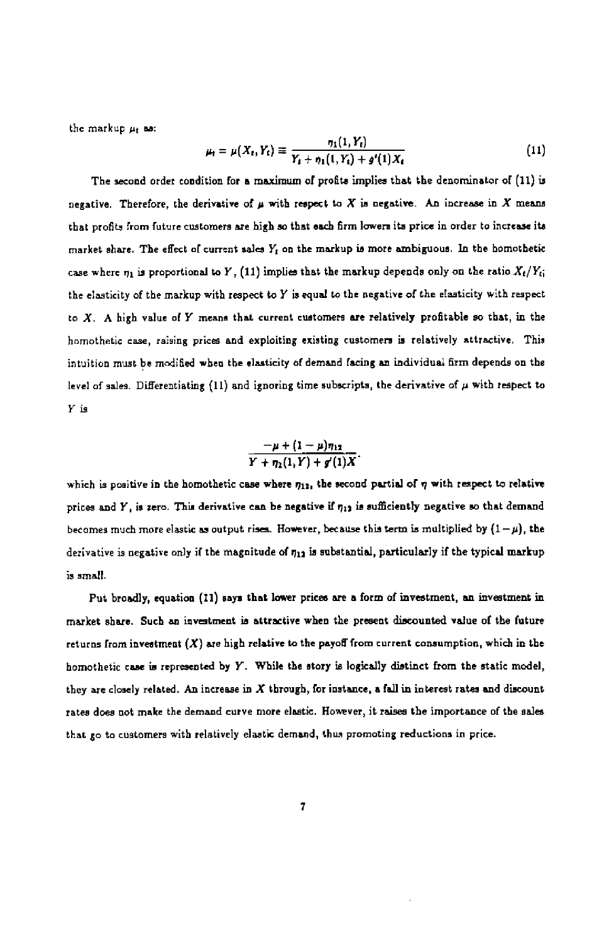the markup  $\mu_t$  as:

$$
\mu_{t} = \mu(X_{t}, Y_{t}) \equiv \frac{\eta_{1}(1, Y_{t})}{Y_{t} + \eta_{1}(1, Y_{t}) + g'(1)X_{t}} \tag{11}
$$

 $\sim$   $\sim$ 

The second order condition for a maximum of profits implies that the denominator of (11) is negative. Therefore, the derivative of  $\mu$  with respect to X is negative. An increase in X means that profits from future customers are high so that each firm lowers its price in order to increase its market share. The effect of current sales  $Y_t$  on the markup is more ambiguous. In the homothetic case where  $\eta_1$  is proportional to Y, (11) implies that the markup depends only on the ratio  $X_t/Y_{ti}$ the elasticity of the markup with respect to  $Y$  is equal to the negative of the elasticity with respect to  $X$ . A high value of  $Y$  means that current customers are relatively profitable so that, in the homothetic case, raising prices and exploiting existing customers is relatively attractive. This intuition must be modified when the elasticity of demand facing an individual firm depends on the level of sales. Differentiating (11) and ignoring time subscripts, the derivative of  $\mu$  with respect to Yis

$$
\frac{-\mu + (1-\mu)\eta_{12}}{Y + \eta_1(1,Y) + g'(1)X}.
$$

which is positive in the homothetic case where  $n_1$ , the second partial of  $\eta$  with respect to relative prices and  $Y$ , is zero. This derivative can be negative if  $\eta_{12}$  is sufficiently negative so that demand becomes much more elastic as output rises. However, because this term is multiplied by  $(1 - \mu)$ , the derivative is negative only if the magnitude of  $\eta_{12}$  is substantial, particularly if the typical markup is small.

Put broadly, equation (11) says that lower prices are a form of investment, an investment in market share. Such an investment is attractive when the present discounted value of the future returns from investment  $(X)$  are high relative to the payoff from current consumption, which in the homothetic case is represented by  $Y$ . While the story is logically distinct from the static model, they are closely related. An increase in  $X$  through, for instance, a fall in interest rates and discount rates does not make the demand curve more elastic. However, it raises the importance of the sales that go to customers with relatively elastic demand, thus promoting reductions in price.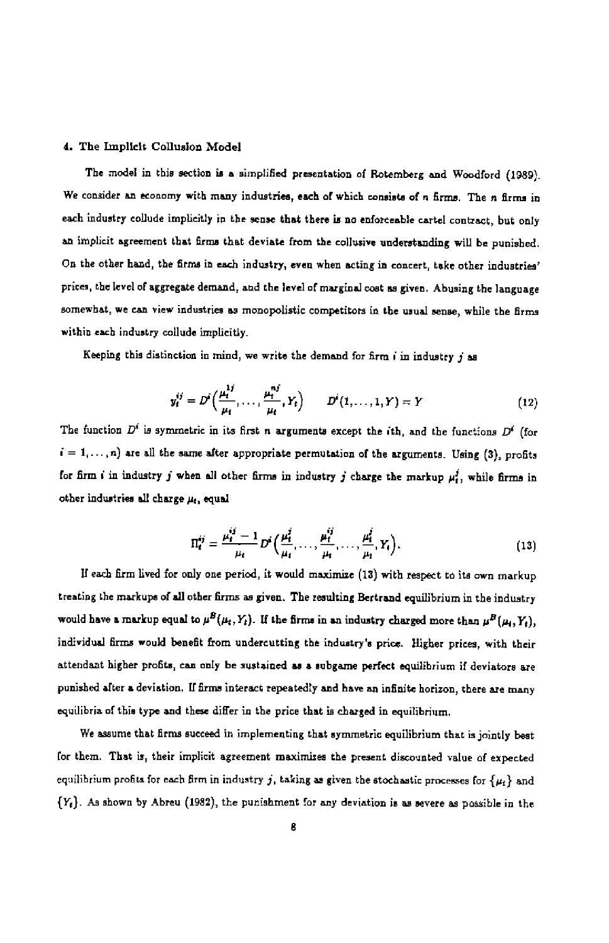#### 4. The Implicit Collusion Model

The model in this section is a simplified presentation of Rotemberg and Woodford (1989). We consider an economy with many industries, each of which consists of n firms. The n firms in each industry collude implicitly in the sense that there is no enforceable cartel contract, but only an implicit agreement that firma that deviate from the collusive understanding will be punished. On the other hand, the firms in each industry, even when acting in concert, take other industries' prices, the level of aggregate demand, and the level of marginal cost as given. Abusing the language somewhat, we can view industries as monopolistic competitors in the usual sense, while the firms within each industry collude implicitly.

Keeping this distinction in mind, we write the demand for firm  $i$  in industry  $j$  as

$$
y_i^{ij} = D^i\Big(\frac{\mu_i^{1i}}{\mu_i}, \dots, \frac{\mu_i^{nj}}{\mu_i}, Y_t\Big) \qquad D^i(1, \dots, 1, Y) = Y \tag{12}
$$

The function  $D^i$  is symmetric in its first n arguments except the ith, and the functions  $D^i$  (for  $i = 1, \ldots, n$ ) are all the same after appropriate permutation of the arguments. Using (3), profits for firm i in industry j when all other firms in industry j charge the markup  $\mu_t^j$ , while firms in other industries all charge  $\mu_i$ , equal

$$
\Pi_t^{ij} = \frac{\mu_t^{ij} - 1}{\mu_t} D^i \Big( \frac{\mu_t^j}{\mu_t}, \dots, \frac{\mu_t^j}{\mu_t}, \dots, \frac{\mu_t^j}{\mu_t}, Y_t \Big). \tag{13}
$$

If each firm lived for only one period, it would maximize (13) with respect to its own markup treating the markups of all other firms as given. The resulting Bertrand equilibrium in the industry would have a markup equal to  $\mu^B(\mu_t, Y_t)$ . If the firms in an industry charged more than  $\mu^B(\mu_t, Y_t)$ , individual firms would benefit from undercutting the industry's price. Higher prices, with their attendant higher profits, can only he sustained as a subgame perfect equilibrium if deviators are punished after a deviation, If firms interact repeatedly and have an infinite horizon, there are many equilibria of this type and these differ in the price that is charged in equilibrium.

We assume that firma succeed in implementing that symmetric equilibrium that is jointly best for them. That is, their implicit agreement maximizes the present discounted value of expected equilibrium profits for each firm in industry j, taking as given the stochastic processes for  $\{\mu_t\}$  and  ${Y<sub>t</sub>}$ . As shown by Abreu (1982), the punishment for any deviation is as severe as possible in the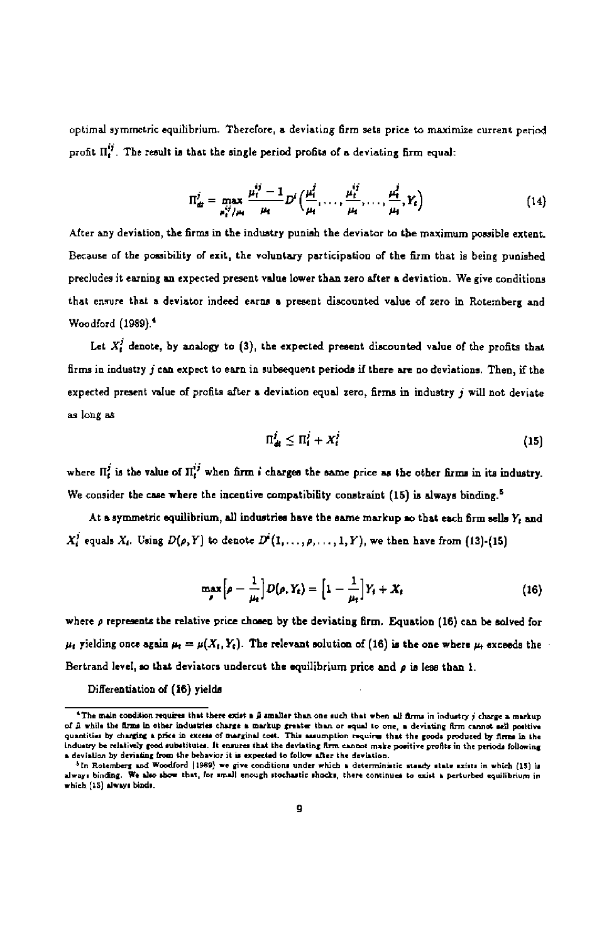optimal symmetric equilibrium. Therefore a deviating firm sets price to maximize current period profit  $\Pi_t^{ij}$ . The result is that the single period profits of a deviating firm equal:

$$
\Pi_{di}^{j} = \max_{\mu_{i}^{ij}/\mu_{i}} \frac{\mu_{i}^{ij} - 1}{\mu_{i}} D^{i} \left( \frac{\mu_{i}^{j}}{\mu_{i}}, \dots, \frac{\mu_{i}^{ij}}{\mu_{i}}, \dots, \frac{\mu_{i}^{j}}{\mu_{i}}, Y_{i} \right)
$$
(14)

After any deviation, the firms in the industry punish the deviator to the maximum possible extent. Because of the possibility of exit, the voluntary participation of the firm that is being punished precludes it earning an expected present value lower than zero after a deviation. We give conditions that ensure that a deviator indeed earns a present discounted value of zero in Rotemberg and Woodford (1989).<sup>4</sup>

Let  $X_t^j$  denote, by analogy to (3), the expected present discounted value of the profits that firms in industry  $j$  can expect to earn in subsequent periods if there are no deviations. Then, if the expected present value of profits after a deviation equal zero, firms in industry  $j$  will not deviate as bug as

$$
\Pi_d^j \leq \Pi_i^j + X_i^j \tag{15}
$$

where  $\Pi^j$  is the value of  $\Pi^{ij}$  when firm i charges the same price as the other firms in its industry. We consider the case where the incentive compatibility constraint (15) is always binding.<sup>5</sup>

At a symmetric equilibrium, all industries have the same markup so that each firm sells Y, and  $X_t^j$  equals  $X_t$ . Using  $D(\rho, Y)$  to denote  $D^i(1,\ldots,\rho,\ldots,1, Y)$ , we then have from (13)-(15)

$$
\max_{\rho} \left[ \rho - \frac{1}{\mu_t} \right] D(\rho, Y_t) = \left[ 1 - \frac{1}{\mu_t} \right] Y_t + X_t \tag{16}
$$

where  $\rho$  represents the relative price chosen by the deviating firm. Equation (16) can be solved for  $\mu_i$  yielding once again  $\mu_i = \mu(X_i, Y_i)$ . The relevant solution of (16) is the one where  $\mu_i$  exceeds the Bertrand level, so that deviators undercut the equilibrium price and  $\rho$  is less than 1.

Differentiation of (16) yields

<sup>&</sup>lt;sup>4</sup>The main condition requires that there exist a  $\hat{\mu}$  smaller than one such that when all firms in industry  $j$  charge a markup of a while the firms in other industries charge a markup greater than or equal to one, a deviating firm cannot sell positive<br>quantities by charging a price in excess of marginal cost. This assumption requires that the good induitry be relatively good substitutes. It ensures that the deviating firm cannot make positive profile in the periods following<br>a deviation by deviating from the behavior it is expected to follow after the deviation.

<sup>&</sup>lt;sup>5</sup> In Rotemberg and Woodford (1989) we give conditions under which a deterministic staacy state axists in which (15) is en to the state of the show that, for small enough stochastic shocks, there continues to exist a perturbed equilibrium in which (15) always binds.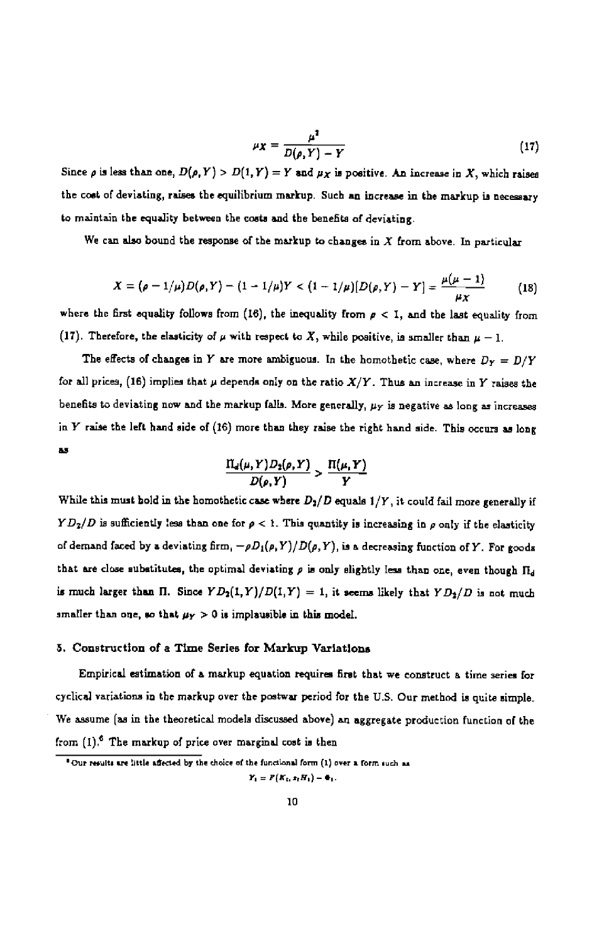$$
\mu_X = \frac{\mu^2}{D(\rho, Y) - Y} \tag{17}
$$

Since  $\rho$  is less than one,  $D(\rho, Y) > D(1, Y) = Y$  and  $\mu_X$  is positive. An increase in X, which raises the cost of deviating, raises the equilibrium markup. Such an increase in the markup is necessary to maintain the equality between the costs and the benefits of deviating.

We can also bound the response of the markup to changes in  $X$  from above. In particular

$$
X = (\rho - 1/\mu)D(\rho, Y) - (1 - 1/\mu)Y < (1 - 1/\mu)[D(\rho, Y) - Y] = \frac{\mu(\mu - 1)}{\mu_X}
$$
 (18)

where the first equality follows from (16), the inequality from  $p < 1$ , and the last equality from (17). Therefore, the elasticity of  $\mu$  with respect to X, while positive, is smaller than  $\mu - 1$ .

The effects of changes in Y are more ambiguous. In the homothetic case, where  $D_Y = D/Y$ for all prices, (16) implies that  $\mu$  depends only on the ratio  $X/Y$ . Thus an increase in Y raises the benefits to deviating now and the markup falls. More generally,  $\mu_Y$  is negative as long as increases in Y raise the left hand side of (16) more than they raise the right hand side. This occurs as long as

$$
\frac{\Pi_d(\mu, Y)D_2(\rho, Y)}{D(\rho, Y)} > \frac{\Pi(\mu, Y)}{Y}
$$

While this must bold in the homothetic case where  $D_2/D$  equals  $1/Y$ , it could fail more generally if  $YD_2/D$  is sufficiently less than one for  $\rho < 1$ . This quantity is increasing in  $\rho$  only if the elasticity of demand faced by a deviating firm,  $-\rho D_1(\rho, Y)/D(\rho, Y)$ , is a decreasing function of Y. For goods that are close substitutes, the optimal deviating  $\rho$  is only slightly less than one, even though  $\Pi_d$ is much larger than  $\Pi$ . Since  $YD_2(1,Y)/D(1,Y) = 1$ , it seems likely that  $YD_2/D$  is not much smaller than one, so that  $\mu_Y > 0$  is implausible in this model.

#### 5. Construction of a Time Series for Markup Variations

Empirical estimation of a markup equation requires first that we construct a time series for cyclical variations in the markup over the postwar period for the U.S. Our method is quite simple. We assume (as in the theoretical models discussed above) an aggregate production function of the from  $(1)$ <sup>6</sup> The markup of price over marginal cost is then

<sup>&</sup>lt;sup>8</sup> Our results are little affected by the choice of the functional form (1) over a form such as

 $Y_1 = F(K_1, s_1H_1) - \Phi_1.$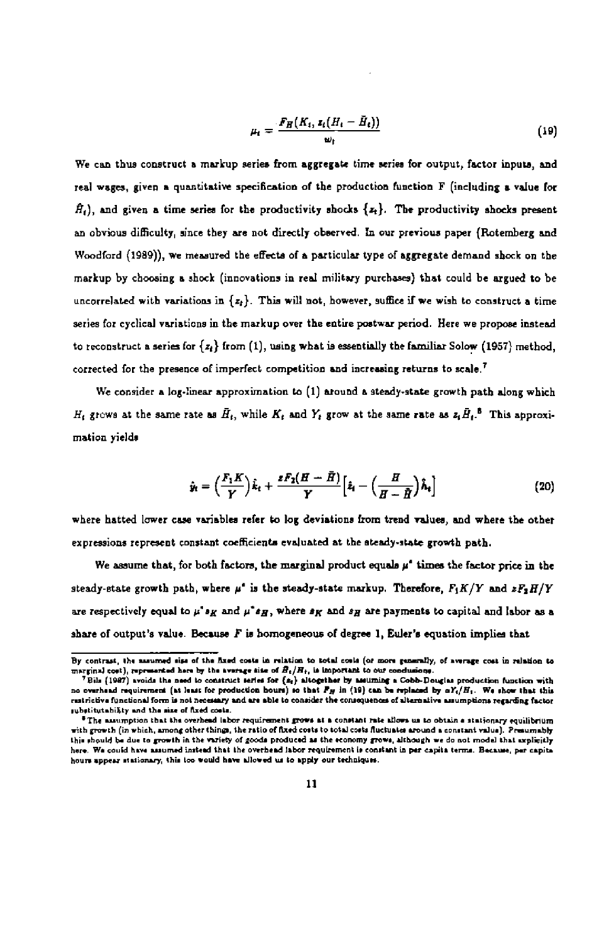$$
\mu_t = \frac{F_H(K_t, z_t(H_t - \bar{H}_t))}{\omega_t} \tag{19}
$$

We can thus construct a markup series from aggregate time series for output, factor inputs, and real wages, given a quantitative specification of the production function F (including a vaiue for  $\hat{H}_t$ ), and given a time series for the productivity shocks  $\{x_t\}$ . The productivity shocks present an obvious difficulty, since they are not directly observed. In our previous paper (Roternherg and Woodford (1989)), we measured the effects of a particular type of aggregate demand shock on the markup by choosing a shock (innovations in real military purchases) that could be argued to be uncorrelated with variations in  $\{z_i\}$ . This will not, however, suffice if we wish to construct a time series for cyclical variations in the markup over the entire postwar period. Here we propose instead to reconstruct a series for  $\{z_i\}$  from (1), using what is essentially the familiar Solow (1957) method, corrected for the presence of imperfect competition and increasing returns to scale.<sup>7</sup>

We consider a log-linear approximation to (1) around a steady-state growth path along which  $H_1$  grows at the same rate as  $\bar{H}_t$ , while  $K_t$  and  $Y_t$  grow at the same rate as  $z_t\bar{H}_t$ .<sup>t</sup> This approximation yields

$$
\hat{\mathbf{y}}_t = \left(\frac{F_1 K}{Y}\right)\hat{k}_t + \frac{z F_2 (H - \bar{H})}{Y} \Big[\hat{z}_t - \left(\frac{H}{H - \bar{H}}\right)\hat{h}_t\Big]
$$
(20)

where hatted lower case variables refer to log deviations from trend values, and where the other expressions represent constant coefficients evaluated at the steady-state growth path.

We assume that, for both factors, the marginal product equals  $\mu^*$  times the factor price in the steady-state growth path, where  $\mu^*$  is the steady-state markup. Therefore,  $F_1K/Y$  and  $zF_2H/Y$ are respectively equal to  $\mu^*s_H$  and  $\mu^*s_H$ , where  $s_H$  and  $s_H$  are payments to capital and labor as a share of output's value. Because  $F$  is homogeneous of degree 1, Euler's equation implies that

By contrast, the assumed size of the fixed costs in relation to total costs (or more generally, of average cost in relation to  $m\pi$  and  $b$  relation to  $m\pi$  arong the aronge costs in relation to

marginal cost), represented here by the average size of  $B_1/H_1$ , is important to our condusions.<br><sup>7</sup> Bila (1987) avsids the need to construct series for (a<sub>2</sub>) altogether by assuming a Cobb-Douglas production function wit rmiticlive functional form is not necessary and are able to consider the consequences of alternative assumptions regarding factor substitutability and the size of fixed costs.

<sup>&</sup>lt;sup>8</sup>The assumption that the overhead labor requirement grows at a constant rate allows us to obtain a stationary equilibrium with growth (in which, among other things, the ratio of fixed costs to total costs fluctuates around a constant value). Presumably this should be due to growth in the variety of goods produced as the economy grows, although we do not model that explicitly here. We could have assumed instead that the overhead labor requirement is constant in per capita terms. Because, per capita hours appear stationary, this too would have allowed us to apply our techniques.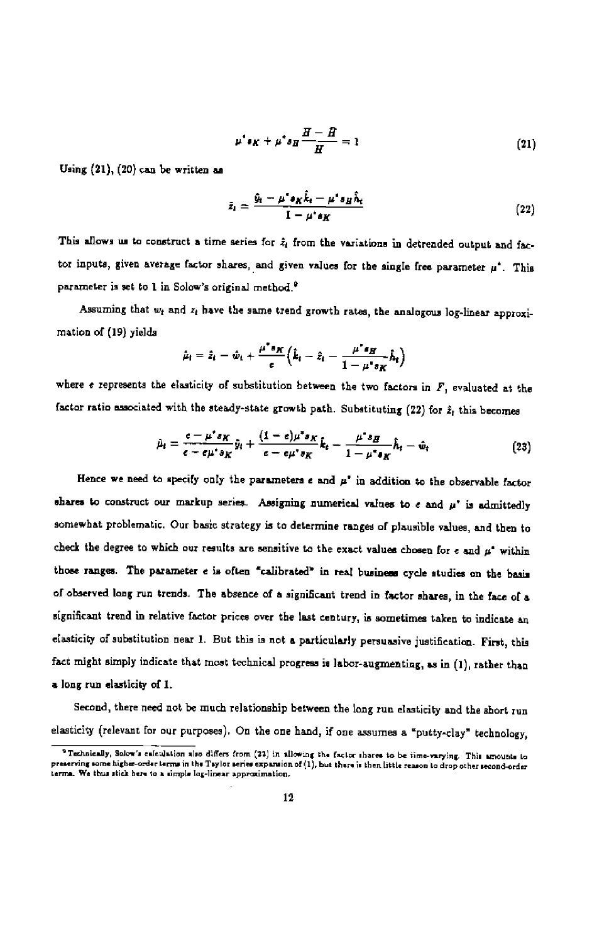$$
\mu^* \mathfrak{s}_K + \mu^* \mathfrak{s}_H \frac{H - H}{H} = 1 \tag{21}
$$

Using  $(21)$ ,  $(20)$  can be written as

$$
\hat{z}_i = \frac{\hat{y}_i - \mu^* s_K \hat{k}_i - \mu^* s_H \hat{h}_i}{1 - \mu^* s_K} \tag{22}
$$

This allows us to construct a time series for  $\hat{z}_t$  from the variations in detrended output and factor inputs, given average factor shares, and given values for the single free parameter  $\mu^*$ . This parameter is set to 1 in Solow's original method.<sup>6</sup>

Assuming that  $w_t$  and  $z_t$  have the same trend growth rates, the analogous log-linear approximation of (19) yields

$$
\hat{\mu}_t = \hat{z}_t - \hat{w}_t + \frac{\mu^* s_K}{e} \Big( \hat{k}_t - \hat{z}_t - \frac{\mu^* s_H}{1 - \mu^* s_K} \hat{h}_t \Big)
$$

where  $e$  represents the elasticity of substitution between the two factors in  $F$ , evaluated at the factor ratio associated with the steady-state growth path. Substituting (22) for  $\hat{x}_t$  this becomes

$$
\hat{\mu}_t = \frac{e - \mu^* s_K}{e - e \mu^* s_K} \hat{y}_t + \frac{(1 - e)\mu^* s_K}{e - e \mu^* s_K} \hat{k}_t - \frac{\mu^* s_H}{1 - \mu^* s_K} \hat{h}_t - \hat{w}_t
$$
\n(23)

Hence we need to specify only the parameters  $e$  and  $\mu^*$  in addition to the observable factor shares to construct our markup series. Assigning numerical values to e and  $\mu^*$  is admittedly somewhat problematic. Our basic strategy is to determine ranges of plausible values, and then to check the degree to which our results are sensitive to the exact values chosen for e and  $\mu^*$  within those ranges. The parameter e is often "calibrated" in real business cycle studies on the basis of observed long run trends. The absence of a significant trend in factor shares, in the face of a significant trend in relative factor prices over the last century, is sometimes taken to indicate an elasticity of substitution near 1. But this is not a particularly persuasive justification. First, this fact might simply indicate that most technical progress is labor-augmenting, as in (1), rather than a long run elasticity of 1.

Second, there need not be much relationehip between the long run elasticity and the short run elasticity (relevant for our purposes). On the one hand, if one assumes a "putty-clay" technology,

P Technically, Solow's calculation also differs from (22) in allowing the factor shares to be time-varying. This amounts to preserving some higher-order terms in the Tsylor second-order terms. We thus stick here to a simple log-linear approximation.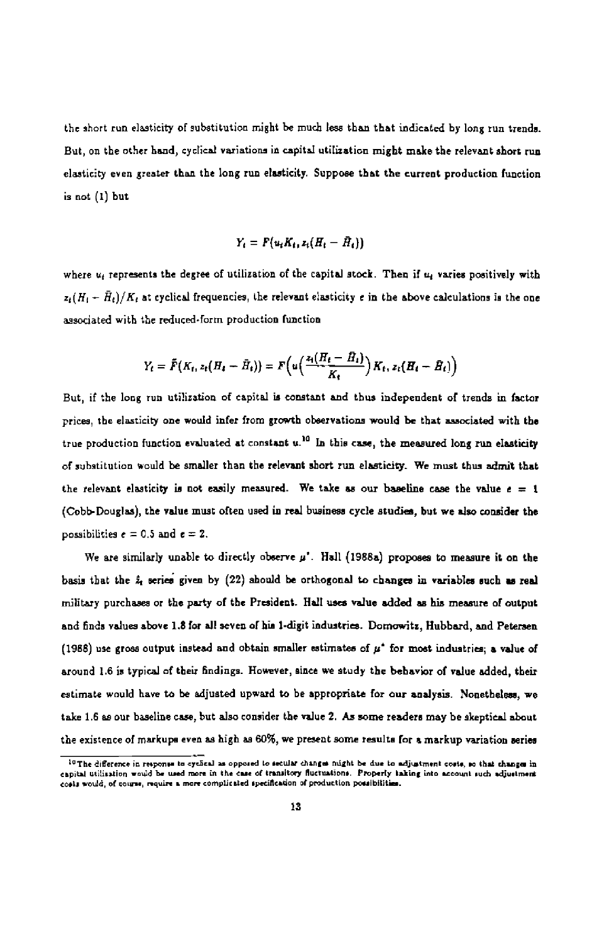the short run elasticity of substitution might be much less than that indicated by long run trends. But, on the other hand, cyclical variations in capital utilization might make the relevant short run elasticity even greater than the long run elasticity Suppose that the current production function is not (1) hut

$$
Y_t = F(u_t K_t, z_t (H_t - \bar{H}_t))
$$

where  $u_t$  represents the degree of utilization of the capital stock. Then if  $u_t$  varies positively with  $z_t(H_t - \bar{H}_t)/K_t$  at cyclical frequencies, the relevant elasticity e in the above calculations is the one associated with the reduced-form production function

$$
Y_t = \tilde{F}(K_t, z_t(H_t - \tilde{H}_t)) = F\left(u\left(\frac{z_t(H_t - \tilde{H}_t)}{K_t}\right)K_t, z_t(H_t - \tilde{H}_t)\right)
$$

But, if the long run utilization nf capital is constant and thus independent of trends in factor prices, the elasticity one would infer from growth observations would be that associated with the true production function evaluated at constant  $u^{10}$  In this case, the measured long run elasticity of substitution would be smaller than the relevant short run elasticity. We must thus admit that the relevant elasticity is not easily measured. We take as our baseline case the value  $e = 1$ (Cobb-Douglas), the value must often used in real business cycle studies, but we also consider the possibilities  $e = 0.5$  and  $e = 2$ .

We are similarly unable to directly observe  $\mu'$ . Hall (1988a) proposes to measure it on the basis that the  $\hat{x}_i$  series given by (22) should be orthogonal to changes in variables such as real military purchases or the party of the President. Hall uses value added as his measure of output and finds values above 1.8 for all seven of his 1-digit industries. Domowitz, Hubbard, and Petersen (1988) use gross output instead and obtain smaller estimates of  $\mu^*$  for most industries; a value of around 1.6 is typical of their findings. However, since we study the behavior of value added, their estimate would have to be adjusted upward to be appropriate for our analysis. Nonetheless, we take 1.6 as our baseline case, but also consider the value 2. As some readers may be skeptical about the existence of markupa even as high as 60%, we present some results for a markup variation series

<sup>&</sup>lt;sup>10</sup>The difference in response to cycheal as opposed to secular changes might be due to adjustment costs, so that changes in capital utilization would be used more in the case of transitory fluctuations. Property taking into account such adjustment costs would, of course, require a more complicated specification of production possibilities.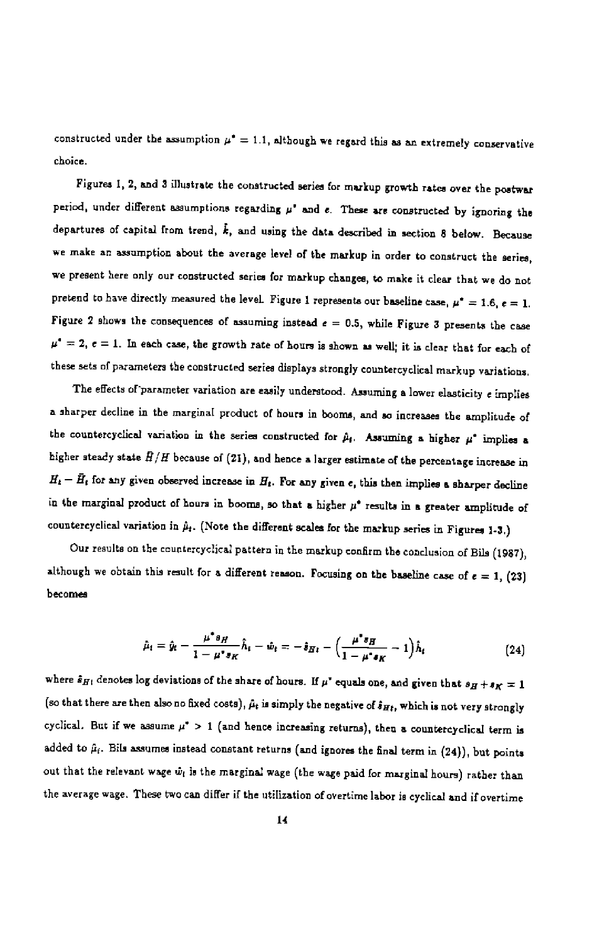constructed under the assumption  $\mu^* = 1.1$ , although we regard this as an extremely conservative choice.

Figures I, 2, and 3 illustrate the constructed series for markup growth rates over the postwar period, under different assumptions regarding  $\mu'$  and  $e$ . These are constructed by ignoring the departures of capital from trend,  $\hat{k}$ , and using the data described in section 8 below. Because we make an assumption about the average level of the markup in order to construct the series, we present here only our constructed series for markup changes, to make it clear that we do not pretend to have directly measured the level. Figure 1 represents our baseline case,  $\mu^* = 1.6$ ,  $e = 1$ . Figure 2 shows the consequences of assuming instead  $\epsilon = 0.5$ , while Figure 3 presents the case  $\mu^* = 2$ ,  $e = 1$ . In each case, the growth rate of hours is shown as well; it is clear that for each of these sets of parameters the constructed series displays strongly countercyclical markup variations,

The effects of parameter variation are easily understood. Assuming a lower elasticity e implies a sharper decline in the marginal product of hours in booms, and so increases the amplitude of the countercyclical variation in the series constructed for  $\hat{\mu}_t$ . Assuming a higher  $\mu^*$  implies a higher steady state  $\bar{H}/H$  because of (21), and hence a larger estimate of the percentage increase in  $H_t - \bar{H}_t$  for any given observed increase in  $H_t$ . For any given e, this then implies a sharper decline in the marginal product of hours in booms, so that a higher  $\mu^*$  results in a greater amplitude of countercyclical variation in  $\hat{\mu}_t$ . (Note the different scales for the markup series in Figures 1-3.)

Our results on the countercyclical pattern in the markup confirm the conclusion of Bils (1987), although we obtain this result for a different reason. Focusing on the baseline case of  $\epsilon = 1$ , (23) becomes

$$
\hat{\mu}_i = \hat{y}_i - \frac{\mu^* s_H}{1 - \mu^* s_K} \hat{h}_i - \hat{w}_i = -\hat{s}_{Hi} - \left(\frac{\mu^* s_H}{1 - \mu^* s_K} - 1\right) \hat{h}_i
$$
\n(24)

where  $\hat{s}_{H1}$  denotes log deviations of the share of hours. If  $\mu^*$  equals one, and given that  $s_H + s_K = 1$ (so that there are then also no fixed costs),  $\hat{\mu}_t$  is simply the negative of  $\hat{s}_{Ht}$ , which is not very strongly cyclical. But if we assume  $\mu^*$  > 1 (and hence increasing returns), then a countercyclical term is added to  $\hat{\mu}_i$ . Bils assumes instead constant returns (and ignores the final term in (24)), but points out that the relevant wage  $\hat{w}_i$  is the marginal wage (the wage paid for marginal hours) rather than the average wage. These two can differ if the utilization of overtime labor is cyclical and if overtime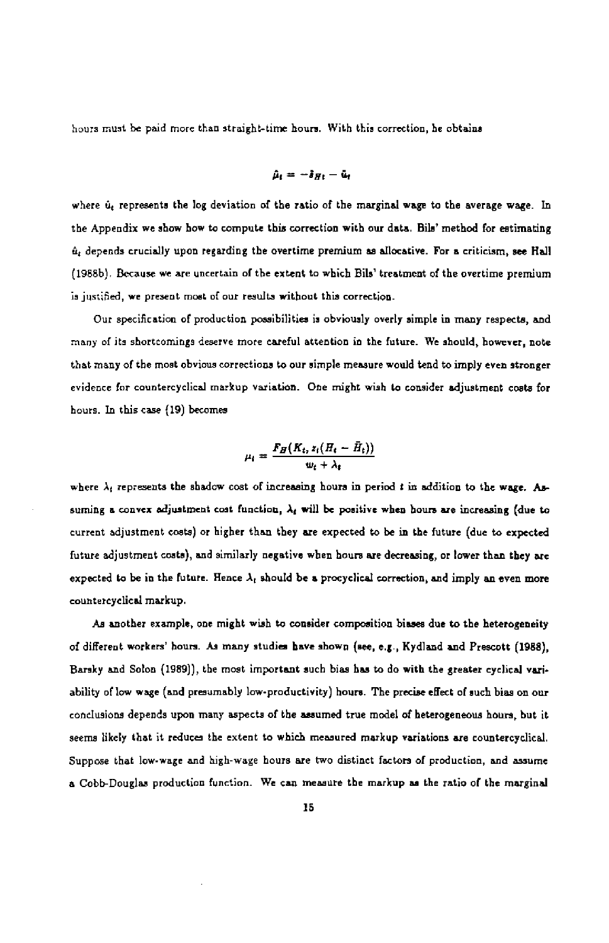hours must he paid more than straight-time hours. With this correction, be obtains

$$
\hat{\mu}_t = -\hat{s}_{Ht} - \hat{u}_t
$$

where  $\hat{u}_t$  represents the log deviation of the ratio of the marginal wage to the average wage. In the Appendix we show how to compute this correction with our data. Bils' method for estimating  $\hat{u}_i$  depends crucially upon regarding the overtime premium as allocative. For a criticism, see Hall (1988b). Because we are uncertain of the extent tn which Bils' treatment of the overtime premium is justified, we present most of our results without this correction.

Our specification of production possibilities is obviously overly simple in many respects, and many of its shortcomings deserve more careful attention in the future. We should, however, note that many of the most obvious corrections to our simple measure would tend to imply even stronger evidence for countercyclical markup variation. One might wish to consider adjustment coats for hours. In this case (19) becomes

$$
\mu_i = \frac{F_H(K_t, z_i(H_t - \bar{H}_t))}{w_t + \lambda_i}
$$

where  $\lambda_i$  represents the shadow cost of increasing hours in period t in addition to the wage. Assuming a convex adjustment cost function,  $\lambda_t$  will be positive when hours are increasing (due to current adjustment costs) or higher than they are expected to he in the future (due to expected future adjustment costs), and similarly negative when hours are decreasing, or lower than they are expected to be in the future. Hence  $\lambda_t$  should be a procyclical correction, and imply an even more countercyclical markup.

As another example, one might wish to consider composition biases doe to the heterogeneity of different workers' hours. As many studies have shown (see, e.g., Kydland and Prescott (1988), Barsky and Solon (1989)), the most important such bias has to do with the greater cyclical variability of low wage (and presumably low-productivity) hours. The precise effect of such bias on our ronclusions depesds upon many aspects of the assumed true model of heterogeneous hours, but it seems likely that it reduces the extent to which measured markup variations are countercyclical. Suppose that low-wage and high-wage hours are two dietinct factors of production, and assume a Cobb-Douglas production function. We can measure the markup as the ratio of the marginal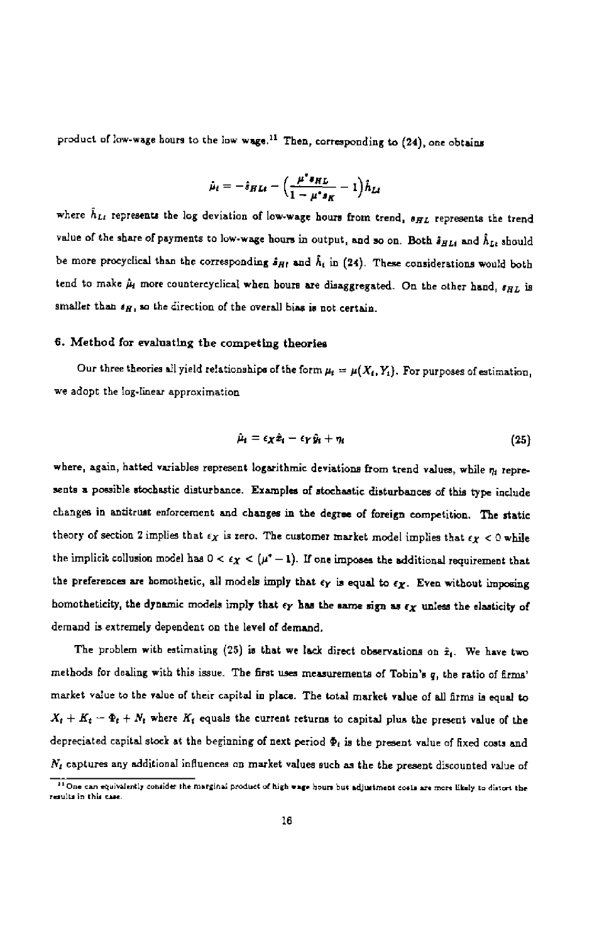product of low-wage hours to the low wage.<sup>11</sup> Then, corresponding to (24), one obtains

$$
\hat{\mu}_t = -\hat{s}_{H L t} - \Big(\frac{\mu^* s_{H L}}{1 - \mu^* s_K} - 1\Big)\hat{h}_{L t}
$$

where  $\hat{h}_{Lt}$  represents the log deviation of low-wage hours from trend,  $s_{HL}$  represents the trend value of the share of payments to low-wage hours in output, and so on. Both  $\hat{s}_{HLt}$  and  $\hat{h}_{Lt}$  should be more procyclical than the corresponding  $s_{H}$  and  $h_i$  in (24). These considerations would both tend to make  $\hat{\mu}_i$  more countercyclical when hours are disaggregated. On the other hand,  $s_{HL}$  is smaller than  $s_H$ , so the direction of the overall bias is not certain.

#### 6. Method for evaluating the competing theories

Our three theories all yield relationships of the form  $\mu_t = \mu(X_t, Y_t)$ . For purposes of estimation, we adopt the log-linear approximation

$$
\hat{\mu}_i = \epsilon_X \hat{x}_i - \epsilon_Y \hat{y}_i + \eta_i \tag{25}
$$

where, again, hatted variables represent logarithmic deviations from trend values, while  $\eta_t$  represents a possible stochastic disturbance. Examples of stochastic disturbances of this type include changes in antitrust enforcement and changes in the degree of foreign competition. The static theory of section 2 implies that  $\epsilon_X$  is zero. The customer market model implies that  $\epsilon_Y < 0$  while the implicit collusion model has  $0 < \epsilon_X < (\mu^* - 1)$ . If one imposes the additional requirement that the preferences are homothetic, all models imply that  $\epsilon_Y$  is equal to  $\epsilon_X$ . Even without imposing homotheticity, the dynamic models imply that  $\epsilon_Y$  has the same sign as  $\epsilon_X$  unless the elasticity of demand is extremely dependent on the level of demand.

The problem with estimating (25) is that we lack direct observations on  $\hat{x}_i$ . We have two methods for dealing with this issue. The first uses measurements of Tohin's q, the ratio of firms' market value to the value of their capital in place. The total market value of all firms is equal to  $X_t + K_t - \Phi_t + N_t$  where  $K_t$  equals the current returns to capital plus the present value of the depreciated capital stock at the beginning of next period  $\Phi_i$  is the present value of fixed costs and  $N_t$  captures any additional influences on market values such as the the present discounted value of

The can equivalently consider the marginal product of high wage hours but adjustment costs are more likely to distort the results in this case.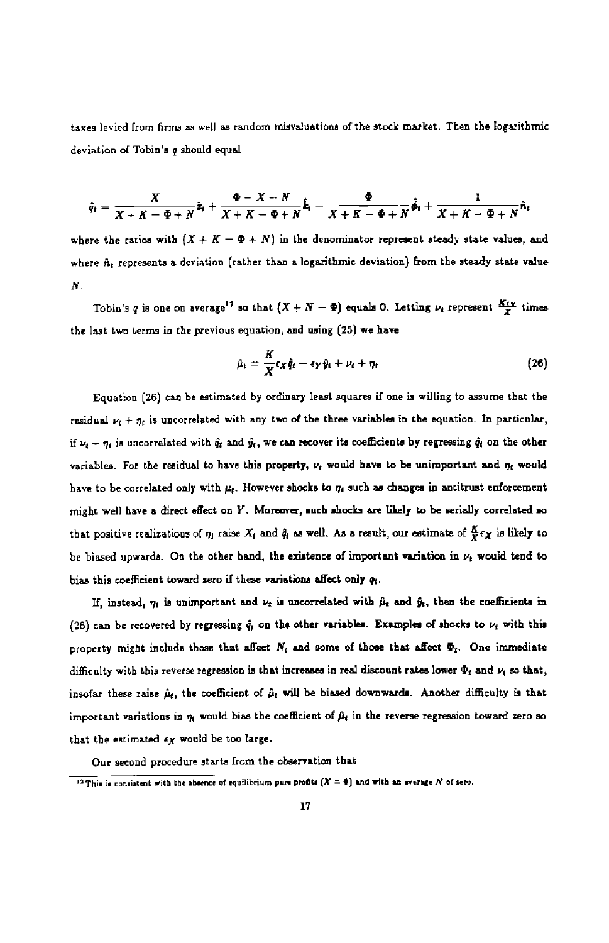taxes levied from firms as well as random miavalustions of the stock market. Then the logarithmic deviation of Tobin's q should equal

$$
\hat{q}_t = \frac{X}{X+K-\Phi+N}\hat{z}_t + \frac{\Phi-X-N}{X+K-\Phi+N}\hat{k}_t - \frac{\Phi}{X+K-\Phi+N}\hat{\phi}_t + \frac{1}{X+K-\Phi+N}\hat{n}_t
$$

where the ratios with  $(X + K - \Phi + N)$  in the denominator represent steady state values, and where  $\hat{n}_t$  represents a deviation (rather than a logarithmic deviation) from the steady state value N.

Tobin's q is one on average<sup>12</sup> so that  $(X + N - \Phi)$  equals 0. Letting  $\nu_i$  represent  $\frac{K_i x}{Y}$  times the last two terms in the previous equation, and using (25) we have

$$
\hat{\mu}_t = \frac{K}{X} \epsilon_X \hat{q}_t - \epsilon_Y \hat{y}_t + \nu_t + \eta_t \qquad (26)
$$

Equation (26) can be stimated by ordinary least squares if one is willing to assume that the residual  $\nu_i + \eta_i$  is uncorrelated with any two of the three variables in the equation. In particular, if  $\nu_i + \eta_i$  is uncorrelated with  $\hat{q}_i$  and  $\hat{y}_i$ , we can recover its coefficients by regressing  $\hat{q}_i$  on the other variables. For the residual to have this property,  $\nu_i$  would have to be unimportant and  $\eta_i$  would have to be correlated only with  $\mu_t$ . However shocks to  $\eta_t$  such as changes in antitrust enforcement might well have a direct effect on Y. Moreover, such shocks are likely to be serially correlated so that positive realizations of  $\eta_1$  raise  $X_t$  and  $\hat{q}_t$  as well. As a result, our estimate of  $\frac{K}{X} \epsilon_X$  is likely to be biased upwards. On the other hand, the existence of important variation in  $\nu_t$  would tend to bias this coefficient toward zero if these variations affect only  $q_i$ .

If, instead,  $n_t$  is unimportant and  $\nu_t$  is uncorrelated with  $\hat{\mu}_t$  and  $\hat{y}_t$ , then the coefficients in (26) can be recovered by regressing  $\hat{q}_i$  on the other variables. Examples of shocks to  $\nu_i$  with this property might include those that affect  $N_t$  and some of those that affect  $\Phi_t$ . One immediate difficulty with this reverse regression is that increases in real discount rates lower  $\Phi_t$  and  $\nu_t$  so that, insofar these raise  $\hat{\mu}_t$ , the coefficient of  $\hat{\mu}_t$  will be biased downwards. Another difficulty is that important variations in  $\eta_t$  would bias the coefficient of  $\beta_t$  in the reverse regression toward zero so that the estimated  $\epsilon_Y$  would be too large.

Our second procedure starts from the ohservation that

<sup>&</sup>lt;sup>12</sup>This is consistent with the sheence of equilibrium pure profits  $(X = 0)$  and with an everage N of sero.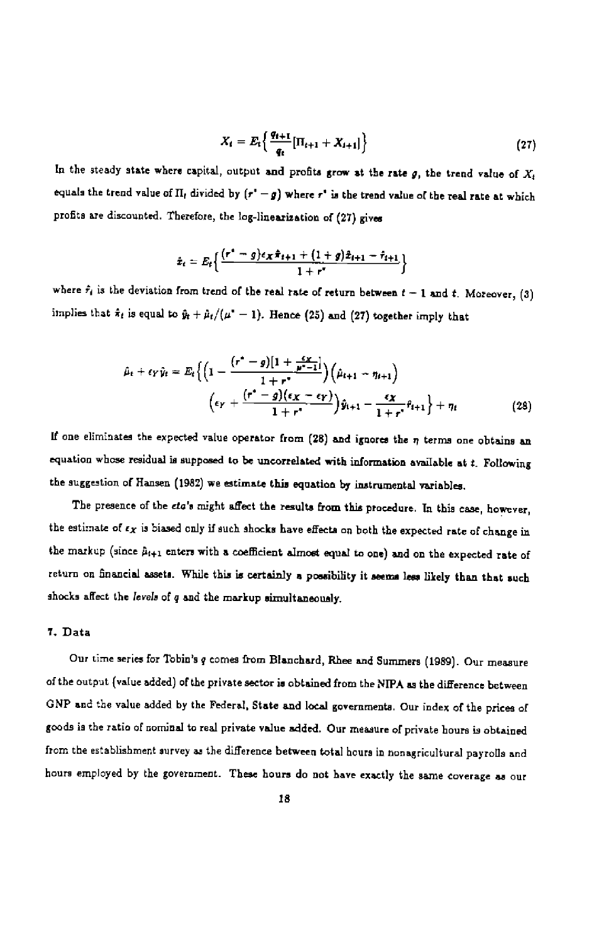$$
X_t = E_t \left\{ \frac{q_{t+1}}{q_t} [\Pi_{t+1} + X_{t+1}] \right\}
$$
 (27)

In the steady state where capital, output and profits grow at the rate g, the trend value of  $X_t$ equals the trend value of  $\Pi_t$  divided by  $(r'-g)$  where r' is the trend value of the real rate at which profits are discounted. Therefore, the log-linearization of (27) gives

$$
\hat{x}_t = E_t \left\{ \frac{(r^* - g)\epsilon_X \hat{\pi}_{t+1} + (1 + g)\hat{x}_{t+1} - \hat{\tau}_{t+1}}{1 + r^*} \right\}
$$

where  $f_i$  is the deviation from trend of the real rate of return between  $t - 1$  and t. Moreover, (3) implies that  $\hat{\pi}_t$  is equal to  $\hat{y}_t + \hat{\mu}_t/(\mu^* - 1)$ . Hence (25) and (27) together imply that

$$
\hat{\mu}_t + \epsilon_Y \hat{y}_t = E_t \Big\{ \Big( 1 - \frac{(r^* - g)[1 + \frac{\epsilon_X}{\mu^* - 1}]}{1 + r^*} \Big) \Big( \hat{\mu}_{t+1} - \eta_{t+1} \Big) + \eta_t \Big\} + \eta_t \Big\}
$$
\n
$$
\Big( \epsilon_Y + \frac{(r^* - g)(\epsilon_X - \epsilon_Y)}{1 + r^*} \Big) \hat{y}_{t+1} - \frac{\epsilon_X}{1 + r^*} \hat{\eta}_{t+1} \Big\} + \eta_t \tag{28}
$$

If one eliminates the expected value operator from (28) and ignores the  $\eta$  terms one obtains an equation whose residual is supposed to be uncorrelated with information available at t. Following the suggestion of Hansen (1982) we estimate this equation by instrumental variables.

The presence of the eta's might affect the results from this procedure. In this ease, however, the estimate of  $\epsilon_X$  is biased only if such shocks have effects on both the expected rate of change in the markup (since  $\hat{\mu}_{i+1}$  enters with a coefficient almost equal to one) and on the expected rate of return on financial assets. While this is certainly a possibility it sesma lees likely than that such shocks affect the levels of q and the markup simultaneously.

#### 7. Data

Our time series for Tobin's q comes from Blanchard, Rhee and Summers (1989). Our measure of the output (value added) of the private sector is obtained from the NIPA as the difference between GNP and the value added by the Federal, State and local governments. Our index of the prices of goods is the ratio of nominal to real private value added. Our measure of private hours is obtained from the establishment survey as the difference between total hours in nonagricultural payrolls and hours employed by the government. These hours do not have exactly the same coverage as our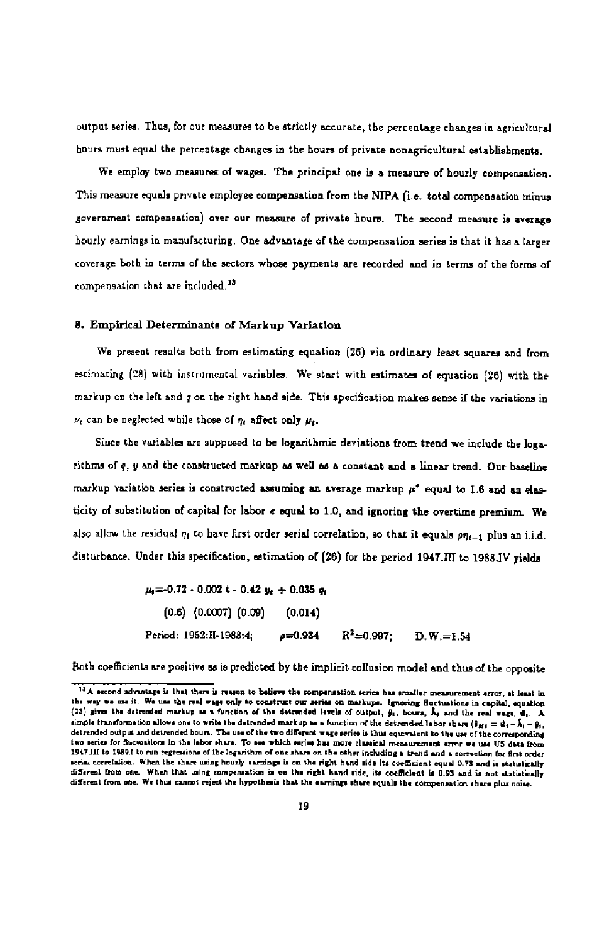output series, Thus, for our measures to be strictly accurate, the percentage changes in agricultural hours must equal the percentage changes in the hours of private nonagricultural establishments.

We employ two measures of wages. The principal one is a measure of hourly compensation. This measure equals private employee compensation from the NIPA (i.e. total compensation minus government compensation) over our measure of private hours. The second measure is average hourly earnings in manufacturing. One advantage of the compensation series is that it has a larger coverage both in terms of the sectors whose payments are recorded and in terms of the forms of compensation that are included.<sup>13</sup>

#### 8. Empirical Determinants of Markup Variation

We present results both from estimating equation (26) via ordinary least squares and from estimating (28) with instrumental variables. We start with estimates of equation (26) with the markup on the left and q on the right hand side. This specification makes sense if the variations in  $\nu$ , can be neglected while those of  $\eta_i$  affect only  $\mu_i$ .

Since the variables are supposed to be logarithmic deviations from trend we include the logarithms of q, y and the constructed markup as well as a constant and a linear trend. Our baseline markup variation series is constructed assuming an average markup  $\mu^*$  equal to 1.6 and an elasticity of substitution of capital for labor e equal to 1.0, and ignoring the overtime premium. We also allow the residual  $\eta_t$  to have first order serial correlation, so that it equals  $p\eta_{t-1}$  plus an i.i.d. disturbance. Under this specification, estimation of (26) for the period 1947.III to 1988.IV yields

> $\mu = 0.72 - 0.002$  t - 0.42  $y_2 + 0.035$  q<sub>t</sub> (0.6) (0.0007) (0.09) (0.014) Period: 1952:II-1988:4;  $p=0.934$   $R^2=0.997$ ; D.W.=1.54

Both coefficients are positive as is predicted by the implicit collusion model and thus of the opposite

<sup>13</sup> A second advantage is that there is reason to believe the compensation series has smaller measurement error, at least in the way we use it. We use the real wage only to construct our series on markupe. Ignoring fluctuations in capital, equation (23) gives the detrended markup as a function of the detrended levels of output,  $\hat{y}_1$ , boarn,  $\hat{\lambda}_1$  and the real wage,  $\hat{w}_1$ . A simple transformation allows one to write the detrended markup as a function of the detrended labor abare  $(s_{H1} = \phi_1 + \hat{k}_1 - \hat{g}_1)$ . detrended output and detrended hours. The use of the two different wage series is thus equivalent to the use of the corresponding two series for fuctuations in the labor share. To see which series has more classical measurement error we use US data from 1947.III to 1989.I to run regressions of the Iogarithm of one share on the other including a trend and a correction for first order nerial correlation. When the share using hourly sarmings is on the right hand side its coefficient equal 0.75 and is statistically different from one. When that using compensation is on the right hand side, its coefficient is 0.93 and is not statistically different from one. We thus cannot reject the hypothesis that the earnings share equals the compensation share plus noise.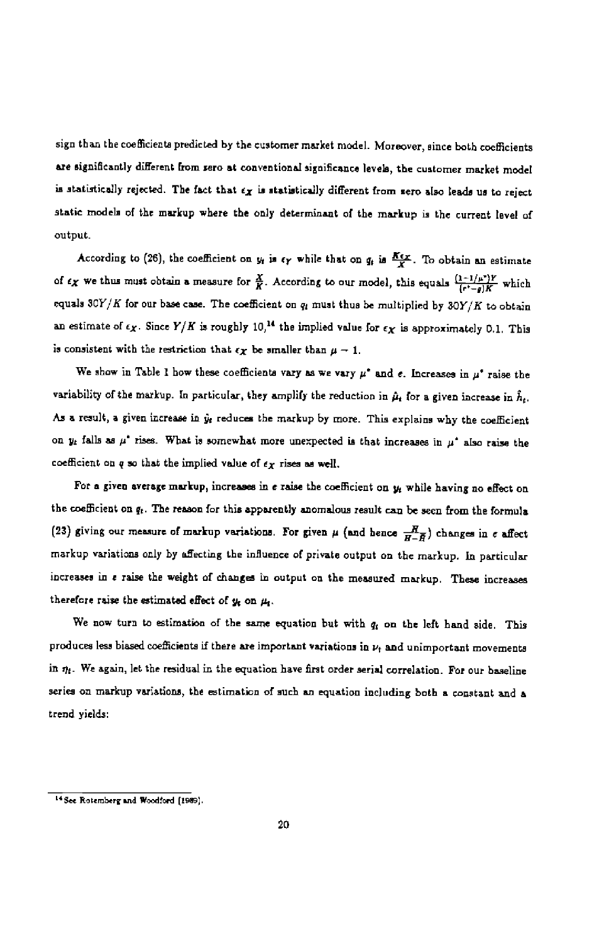sign than the coefficients predicted by the customer market model. Moreover, since both coefficients are significantly different from zero at conventional significance levels, the customer market model is statistically rejected. The fact that  $\epsilon_X$  is statistically different from zero also leads us to reject static models of the markup where the only determinant of the markup is the current level of output.

According to (26), the coefficient on  $y_t$  is  $\epsilon_Y$  while that on  $q_t$  is  $\frac{K \epsilon_X}{K}$ . To obtain an estimate of  $\epsilon_X$  we thus must obtain a measure for  $\frac{X}{K}$ . According to our model, this equals  $\frac{(1-1/\mu^*)Y}{(\epsilon^*-q)K}$  which equals  $30Y/K$  for our base case. The coefficient on  $q_i$  must thus be multiplied by  $30Y/K$  to obtain an estimate of  $\epsilon_X$ . Since  $Y/K$  is roughly 10,<sup>14</sup> the implied value for  $\epsilon_X$  is approximately 0.1. This is consistent with the restriction that  $\epsilon_X$  be smaller than  $\mu - 1$ .

We show in Table 1 how these coefficients vary as we vary  $\mu^*$  and e. Increases in  $\mu^*$  raise the variability of the markup. In particular, they amplify the reduction in  $\hat{\mu}_t$  for a given increase in  $\hat{h}_t$ . As a result, a given increase in  $\hat{y}_t$  reduces the markup by more. This explains why the coefficient on  $y_t$  falls as  $\mu^*$  rises. What is somewhat more unexpected is that increases in  $\mu^*$  also raise the coefficient on q so that the implied value of  $\epsilon_X$  rises as well.

For a given average markup, increases in  $e$  raise the coefficient on  $y_t$  while having no effect on the coefficient on  $q_t$ . The reason for this apparently anomalous result can be seen from the formula (23) giving our measure of markup variations. For given  $\mu$  (and hence  $\frac{H}{H-\bar{H}}$ ) changes in e affect markup variations only by affecting the influence of private output on the markup. In particular increases in e raise the weight of changes in output on the measured markup. These increases therefore raise the estimated effect of  $y_t$  on  $\mu_t$ .

We now turn to estimation of the same equation but with  $q_i$  on the left hand side. This produces less biased coefficients if there are important variations in  $\nu_{\rm f}$  and unimportant movements in  $\eta_t$ . We again, let the residual in the equation have first order serial correlation. For our baseline series on markup variations, the estimation of such an equation including both a constant and a trend yields;

<sup>&</sup>lt;sup>14</sup> See Rotemberg and Woodford (1989).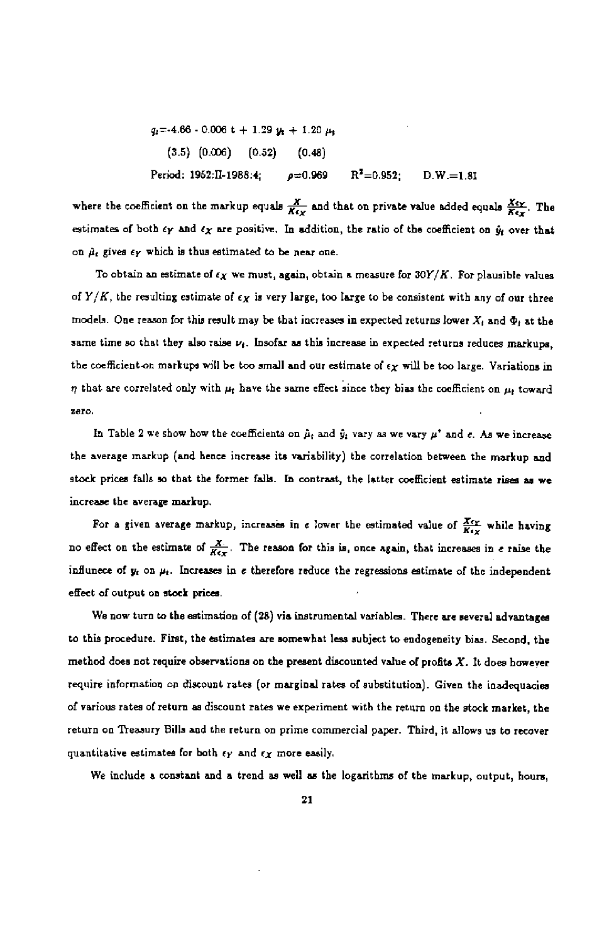$$
q_1 = -4.66 - 0.006 t + 1.29 y_t + 1.20 \mu_t
$$
  
(3.5) (0.006) (0.52) (0.48)  
Period: 1952:II-1988:4;  $\rho = 0.969$  R<sup>2</sup>=0.952; D.W.=1.81

where the coefficient on the markup equals  $\frac{X}{K(x)}$  and that on private value added equals  $\frac{X_{xy}}{K(x)}$ . The estimates of both  $\epsilon_Y$  and  $\epsilon_X$  are positive. In addition, the ratio of the coefficient on  $\dot{y}_t$  over that on  $\hat{\mu}_t$  gives  $\epsilon_Y$  which is thus estimated to be near one.

To obtain an estimate of  $\epsilon_X$  we must, again, obtain a measure for  $30Y/K$  . For plausible values of  $Y/K$ , the resulting estimate of  $\epsilon_X$  is very large, too large to be consistent with any of our three models. One reason for this result may be that increases in expected returns lower  $X_t$  and  $\Phi_t$  at the same time so that they also raise  $\nu_i$ . Insofar as this increase in expected returns reduces markups, the coefficient on markups will be too small and our estimate of  $\epsilon_X$  will be too large. Variations in  $\eta$  that are correlated only with  $\mu_t$  have the same effect since they bias the coefficient on  $\mu_t$  toward zero.

In Table 2 we show how the coefficients on  $\hat{\mu}_i$  and  $\hat{y}_i$  vary as we vary  $\mu^*$  and e. As we increase the average markup (and hence increase its variability) the correlation between the markup and stock prices falls so that the former falk. En contrast, the latter coefficient estimate rises as we increase the average markup.

For a given average markup, increases in e lower the estimated value of  $\frac{X_{CY}}{K_{CY}}$  while having no effect on the estimate of  $\frac{X}{Ktx}$ . The reason for this is, once again, that increases in e raise the influnece of  $y_t$  on  $\mu_t$ . Increases in e therefore reduce the regressions estimate of the independent effect of output on stock prices.

We now turn to the estimation of (28) via instrumental variables. There are several advantages to this procedure. First, the estimates are somewhat less subject to endogeneity bias. Second, the method does not require observations on the present discounted value of profits  $X$ . It does however require information on discount rates (or marginal rates of substitution). Given the inadequacies of various rates of return as discount rates we experiment with the return on the stock market, the return on Treasury Bills and the return on prime commercial paper. Third, it allows us to recover quantitative estimates for both  $\epsilon_Y$  and  $\epsilon_X$  more easily.

We include a constant and a trend as well as the logarithms of the markup, output, hours,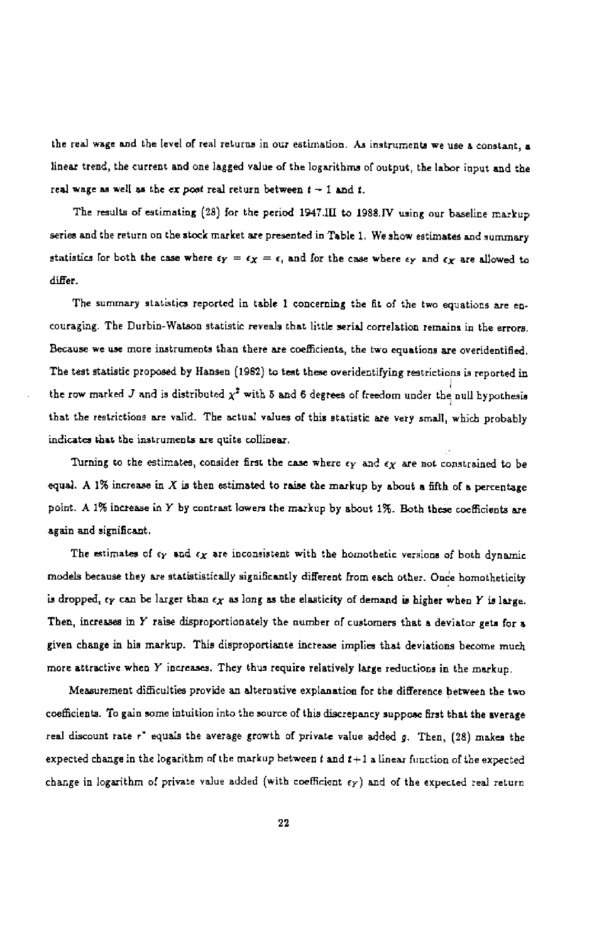the real wage and the level of real returns in our estimation. As instruments we use a constant, a linear trend, the current and one lagged value of the logarithms of output, the labor input and the real wage as well as the ex post real return between  $t - 1$  and  $t$ .

The results of estimating (28) for the period 1947.III to 1988.IV using our baseline markup series and the return on the stock market are presented in Table 1. We show estimates and summary statistics for both the case where  $\epsilon_Y = \epsilon_X = \epsilon$ , and for the case where  $\epsilon_Y$  and  $\epsilon_X$  are allowed to differ.

The summary statistics reported in table 1 concerning the fit of the two equations are encouraging. The Durbin-Watson statistic reveals that little serial correlation remains in the errors. Because we use more instruments than there are coefficients, the two equations are overidentified. The test statistic proposed by Hansen (1982) to test these overidentifying restrictions is reported in the row marked J and is distributed  $\chi^2$  with 5 and 6 degrees of freedom under the null hypothesis that the restrictions are valid. The actual values of this statistic are very small, which probably indicates that the instruments are quite collinear,

Turning to the estimates, consider first the case where  $\epsilon_Y$  and  $\epsilon_X$  are not constrained to be equal. A 1% increase in  $X$  is then estimated to raise the markup by about a fifth of a percentage point. A 1% increase in Y by contrast lowers the markup by about 1%. Both these coefficients are again and significant.

The estimates of  $\epsilon_Y$  and  $\epsilon_X$  are inconsistent with the homothetic versions of both dynamic models because they are statististically significantly different from each other. Once homotheticity is dropped,  $\epsilon_Y$  can be larger than  $\epsilon_X$  as long as the elasticity of demand is higher when Y is large. Then, increases in Y raise disproportionately the number of customers that a deviator gets for a given change in his markup. This disproportisnte increase implies that deviations become much more attractive when Y incresses. They thus require relatively large reductions in the markup.

Measurement difficulties provide an alternative explanation for the difference between the two coefficients. To gain some intuition into the source of this discrepancy suppose first that the average real discount rate r<sup>\*</sup> equals the average growth of private value added g. Then, (28) makes the expected change in the logarithm of the markup between  $t$  and  $t+1$  a linear function of the expected change in logarithm of private value added (with coefficient  $\epsilon_Y$ ) and of the expected real return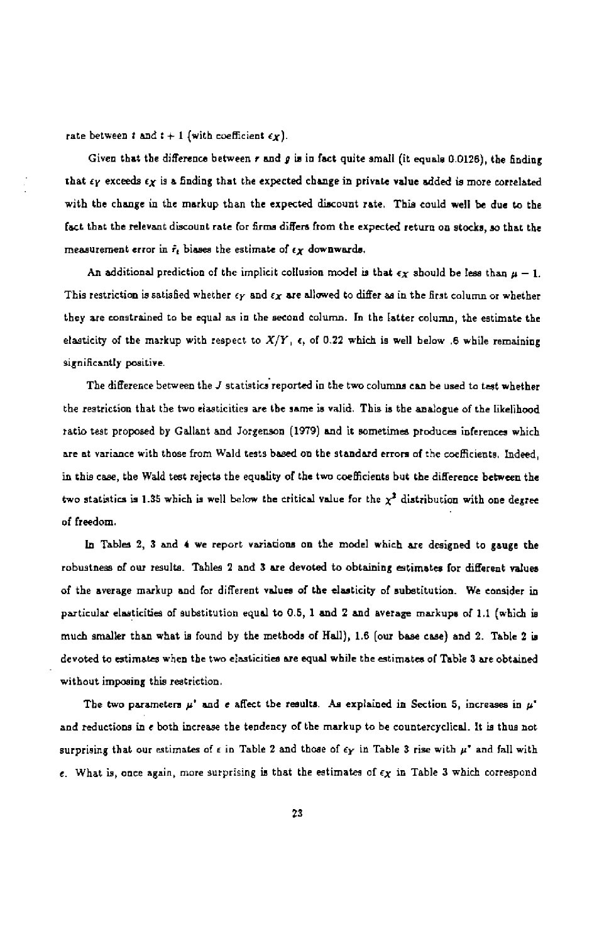rate between t and  $t + 1$  (with coefficient  $\epsilon_X$ ).

Given that the difference between  $r$  and  $g$  is in fact quite small (it equals 0.0126), the finding that  $\epsilon_Y$  exceeds  $\epsilon_X$  is a finding that the expected change in private value added is more correlated with the change in the markup than the expected discount rate. This could well be due to the fact that the relevant discount rate (or firms differs from the expected return on stocke, so that the measurement error in  $\hat{r}_t$  biases the estimate of  $\epsilon_X$  downwards.

An additional prediction of the implicit collusion model is that  $\epsilon_X$  should be less than  $\mu - 1$ . This restriction is satisfied whether  $\epsilon_Y$  and  $\epsilon_X$  are allowed to differ as in the first column or whether they are constrained to be equal as in the second column. In the latter column, the estimate the elasticity of the markup with respect to  $X/Y$ ,  $\epsilon$ , of 0.22 which is well below .6 while remaining significantly positive.

The difference between the J statistics reported in the two columns can he used to test whether the restriction that the two elasticities are the same is valid. This is the analogue of the likelihood ratio test proposed by Gallant and Jorgenson (1979) and it sometimes produces inferences which are at variance with those from Wald tests based on the standard errors 0f the coefficients, Indeed, in this case, the Wald test rejects the equality of the two coefficients but the difference between the two statistics is 1.35 which is well below the critical value for the  $\chi^2$  distribution with one degree of freedom.

In Tables 2, 3 and 4 we report variations on the model which are designed to gauge the robustness of our results. Tables 2 and 3 are devoted to obtaining estimates for different values of the average markup and for different values of the elasticity of auhetitution. We consider in particular elasticities of substitution equal to 0.5, 1 and 2 and average markups of 1.1 (which is much smaller than what is found by the methods of Hall), 1.6 (our base case) and 2. Table 2 is devoted to estimates when the two elasticities are equal while the estimates of Table 3 are obtained without imposing this restriction.

The two parameters  $\mu^*$  and e affect the results. As explained in Section 5, increases in  $\mu^*$ and reductions in e both increase the tendency of the markup to be countercyclical. it is thus not surprising that our estimates of  $\epsilon$  in Table 2 and those of  $\epsilon_Y$  in Table 3 rise with  $\mu^*$  and fall with e. What is, once again, more surprising is that the estimates of  $\epsilon_X$  in Table 3 which correspond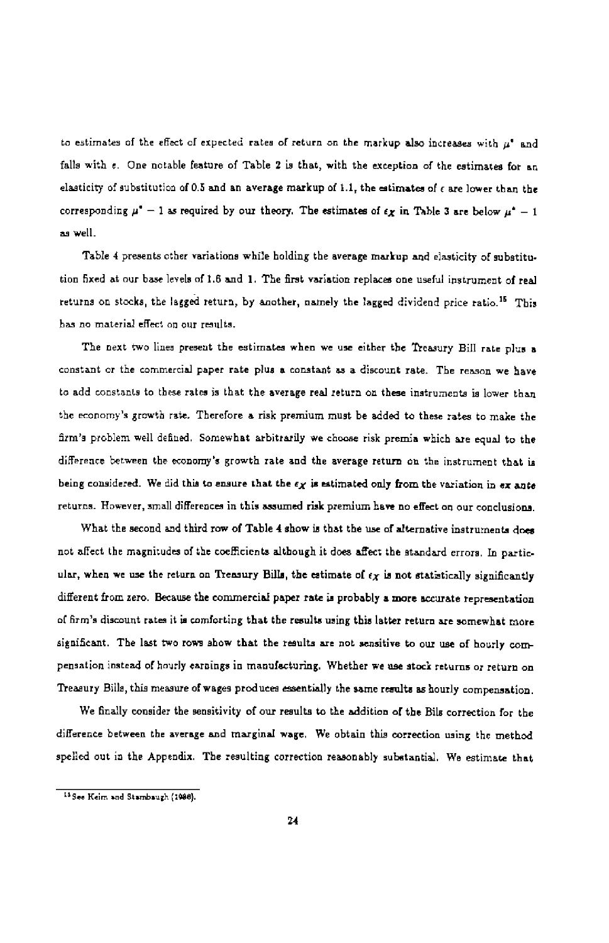to estimates of the effect of expected rates of return on the markup also increases with  $\mu^*$  and falls with  $\epsilon$ . One notable feature of Table 2 is that, with the exception of the estimates for an elasticity of substitution of 0.5 and an average markup of  $1.1$ , the estimates of  $\epsilon$  are lower than the corresponding  $\mu^* - 1$  as required by our theory. The estimates of  $\epsilon_X$  in Table 3 are below  $\mu^* - 1$ as well.

Table 4 presents other variations while holding the average markup and elasticity of substitution fixed at our base levels of 1.6 and 1. The first variation replaces one useful instrument of real returns on stocks, the lagged return, by another, namely the lagged dividend price ratio.<sup>15</sup> This has no material effect on our results.

The next two lines present the estimates when we use either the Treasury Bill rate plus a constant or the commercial paper rate plus a constant as a discount rate. The reason we have to add constants to these rates is that the average real return on these instruments is lower than the economy's growth rate. Therefore a risk premium must be added to these rates to make the firm's problem well defined. Somewhat arbitrarily we choose risk premia which are equal to the difference between the economy's growth rate and the average return on the instrument that is being considered. We did this to ensure that the  $\epsilon_X$  is estimated only from the variation in  $\epsilon_X$  ante returns. However, small differences in this assumed risk premium have no effect on our conclusions.

What the second and third row of Table 4 show is that the use of alternative instruments does not affect the magnitudes of the coefficients although it does affect the standard errors. In particular, when we use the return on Treasury Bills, the estimate of  $\epsilon_X$  is not statistically significantly different from zero. Because the commercial paper rate is probably a more accurate representation of firm's discount rates it is comforting that the results using this latter return are somewhat more significant. The last two rows show that the results are not sensitive to our use of hourly compensation instead of hourly earnings in manufacturing. Whether we use stock returns or return on Treasury Bills, this measure of wages produces essentially the same results as hourly compensation.

We finally consider the sensitivity of our results to the addition of the Bils correction for the difference between the average and marginal wage. We obtain this correction using the method spelled out in the Appendix. The resulting correction reasonably substantial. We estimate that

<sup>&</sup>lt;sup>15</sup> See Keim and Stambaugh (1986).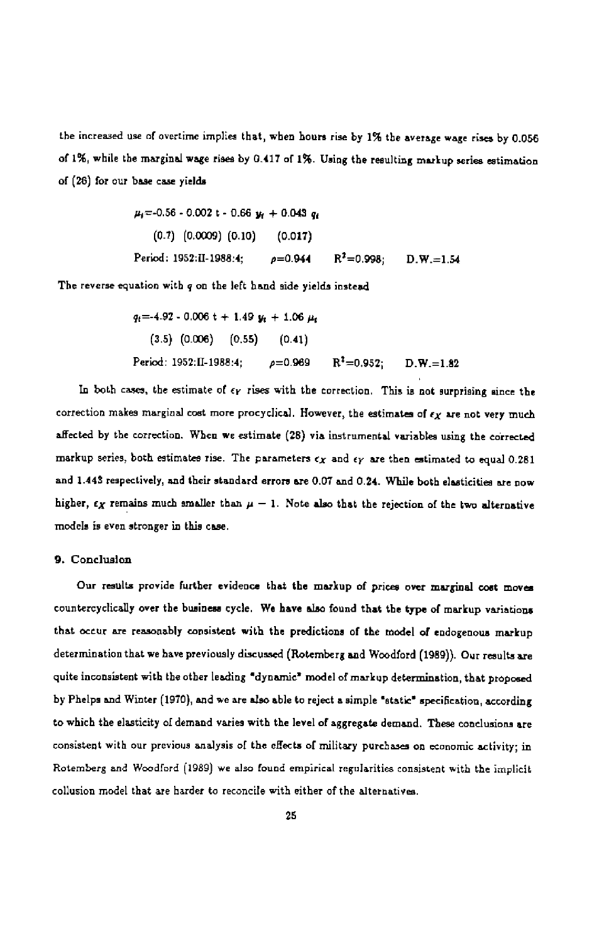the increased use of overtime implles that, when hours rise by 1% the average wage rises by 0.056 of 1%, while the marginsi wage rises by 0.417 of i%. Using the resulting markup series estimation of(26) for cur base case yields

$$
\mu_i = -0.56 - 0.002 t - 0.66 \ y_i + 0.043 \ q_i
$$
  
(0.7) (0.0009) (0.10) (0.017)  
Period: 1952:II-1988:4;  $\rho = 0.944$  R<sup>2</sup>=0.998; D.W.=1.54

The reverse equation with q on the left hand side yields instead

$$
q_{\text{f}} = -4.92 - 0.006 \text{ t} + 1.49 \text{ y}_{\text{f}} + 1.06 \text{ \mu}_{\text{f}}
$$
  
(3.5) (0.006) (0.55) (0.41)  
Period: 1952:II-1988:4;  $\rho = 0.969$  R<sup>2</sup>=0.952; D.W.=1.82

In both cases, the estimate of  $\epsilon_Y$  rises with the correction. This is not surprising since the correction makes marginal cost more procyclical. However, the estimates of  $\epsilon_X$  are not very much affected by the correction. When we estimate (28) via instrumental variables using the corrected markup series, both estimates rise. The parameters  $\epsilon_X$  and  $\epsilon_Y$  are then estimated to equal 0.281 and 1.443 respectively, and their standard errors are 0.07 and 0.24. While both elasticities are now higher,  $\epsilon_X$  remains much smaller than  $\mu - 1$ . Note also that the rejection of the two alternative models is even stronger is this case.

#### 9. ConclusIon

Our results provide further evidence that the markup of prices over marginal cost moves countercyclically over the business cycle. We have also found that the type of markup variations that occur are reasonably consistent with the predictions of the model of endogenoua markup determination that we have previously discussed (Rotemberg and Woodlord (1989)). Our results are quite inconsistent with the other leading "dynamic" model of markup determination, that proposed by Phelps and Winter (1970), and we are also able to reject a simple "static" specification, according to which the elasticity of demand varies with the level of aggregate demand. These conclusions are consistent with our previous analysis of the effects of military purchases on economic activity; in Rotemberg and Woodford (1989) we also found empirical regularities consistent with the implicit collusion model that are harder to reconcile with either of the alternatives.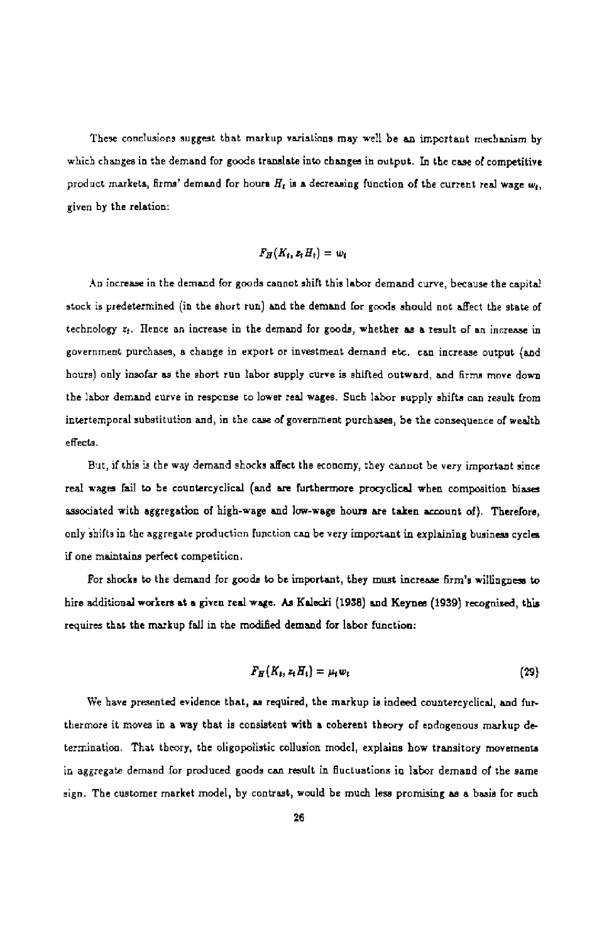These conclusions suggest that markup variations may well be an important mechanism by which changes in the demand for goods translate into changes in output. In the case of competitive product markets, firms' demand for hours  $H_t$  is a decreasing function of the current real wage  $w_t$ , given by the relation:

$$
F_H(K_t, z_t H_t) = w_t
$$

An increase in the demand for goods cannot shift this labor demand curve, because the capital stock is predetermined (in the short run) and the demand for goods should not affect the state of technology aj. Hence an increase in the demand for goods, whether as a result of an increase in government purchases, a change in export or investment demand etc. can increase output (and hours) only insofar as the short run labor supply curve ie shifted outward, and firms move down the labor demand curve in response to lower real wages. Such labor supply shifts can result from intertemporal substitution and, in the case of government purchases, be the consequence of wealth effects.

But, if this is the way demand shocks affect the economy, they cannot be very important since real wages fail to be countercyclical (and are furthermore procyclical when composition biases associated with aggregation of high-wage and low-wage hours are taken account of). Therefore, only shifts in the aggregate production function can be very important in explaining business cycles if one maintains perfect competition.

For shocks to the demand for goods to be important, they must increase firm's willingness to hire additional workers at a given real wage. As Kalecki (1938) and Keynes (1939) recognized, this requires that the markup fail in the modified demand for labor function:

$$
F_H(K_t, z_t H_t) = \mu_t w_t \qquad (29)
$$

We have presented evidence that, as required, the markup is indeed countercyclical, and furthermore it moves in a way that is consistent with a coherent theory of endogonous markup determinatioo. That theory, the oligopolistic collusion model, explains how transitory movements in aggregste demand for produced goods can result in fluctuations in labor demand of the same sign. The customer market model, by contrast, would be much less promising as a basis for such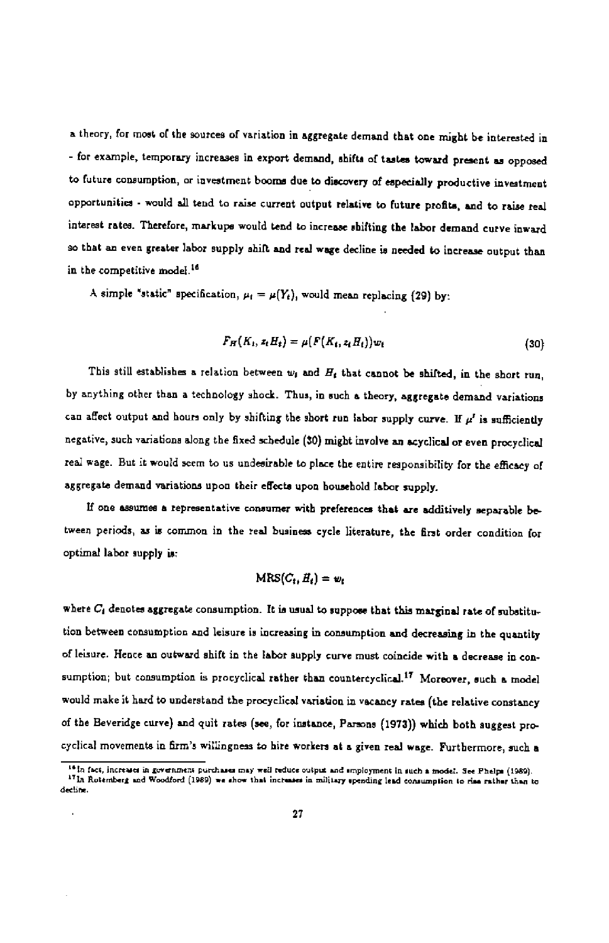a theory, for most of the sources of variation in aggregate demand that one might be interested in - for example, temporary increases in export demand, shifts of tastes toward present as opposed to future consumption, or investment booms due to discovery of especially productive investment opportunities - would all tend to raise current output relative to future profits, and to raise real interest rates. Therefore, markupe would tend to increase shifting the labor demand curve inward so that an even greater labor supply shift and real wage decline is needed to increase output than in the competitive model.<sup>16</sup>

A simple "static" specification,  $\mu_i = \mu(Y_i)$ , would mean replacing (29) by:

$$
F_H(K_1, z_t H_t) = \mu(F(K_t, z_t H_t)) w_t \qquad (30)
$$

This still establishes a relation between  $w_1$  and  $H_1$  that cannot be shifted, in the short run, hy anything other than a technology shock. Thus, in such a theory, aggregate demand variations can affect output and hours only by shifting the short run labor supply curve. If  $\mu'$  is sufficiently negative, such variations along the fixed schedule (30) might involve an scyclical or even procyclical real wage. But it would serm to us undesirable to place the entire responsibility for the efficacy of aggregate demand variations upon their effects upon household labor supply.

If one assumes a representative consumer with preferences that are additively separable between periods, as is common in the real business cycle literature, the first order condition for optimal labor supply is:

# $MRS(C_t, H_t) = w_t$

where  $C_1$  denotes aggregate consumption. It is usual to suppose that this marginal rate of substitution between consumption and leisure is increasing in consumption and decreasing in the quantity of leisure. Hence an outward shift in the labor aupply curve must coincide with a decrease in consumption; but consumption is procyclical rather than countercyclical.<sup>17</sup> Moreover, such a model would make it hard to understand the procyclical variation in vacancy rates (the relative constancy of the Beveridge curve) and quit rates (see, for instance, Parsons (1973)) which both suggest procyclical movements in firm's willingness to hire workers at a given real wage. Furthermore, such a

<sup>&</sup>lt;sup>16</sup> In fact, increases in government purchases may well reduce output and smployment in such a model. See Phelps (1989).<br><sup>17</sup> In Rotemberg and Woodford (1989) we show that increases in military spending lead consumption t decline.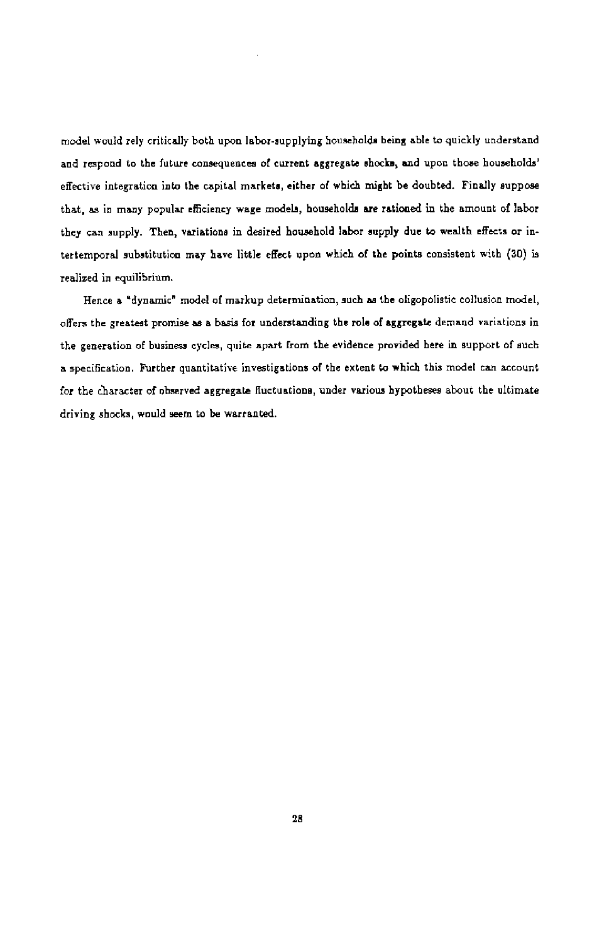model would rely critically both upon labor-supplying hoosebolds being able to quickly understand and respond to the future consequences of current aggregate shocks, and upon those households' effective integration into the capital markets, either of which might be doubted. Finally suppose that, as in many popular efficiency wage models, households are rationed in the amount of labor they can supply. Then, variations in desired household labor supply due to wealth effects or intertemporal substitution may have little effect upon which of the points consistent with (30) is realized in equilibrium.

Hence a "dynamic" model of markup determination, such as the oligopolistic collusion model, offers the greatest promise as a basis for understanding the role of aggregate demand variations in the generatioo of business cycles, quite apart from the evidence provided here in support of such a specification. Further quantitative investigations of the extent to which this model ran account for the character of observed aggregate fluctuations, under various hypotheses about the ultimate driving shocks, would seem to be warranted.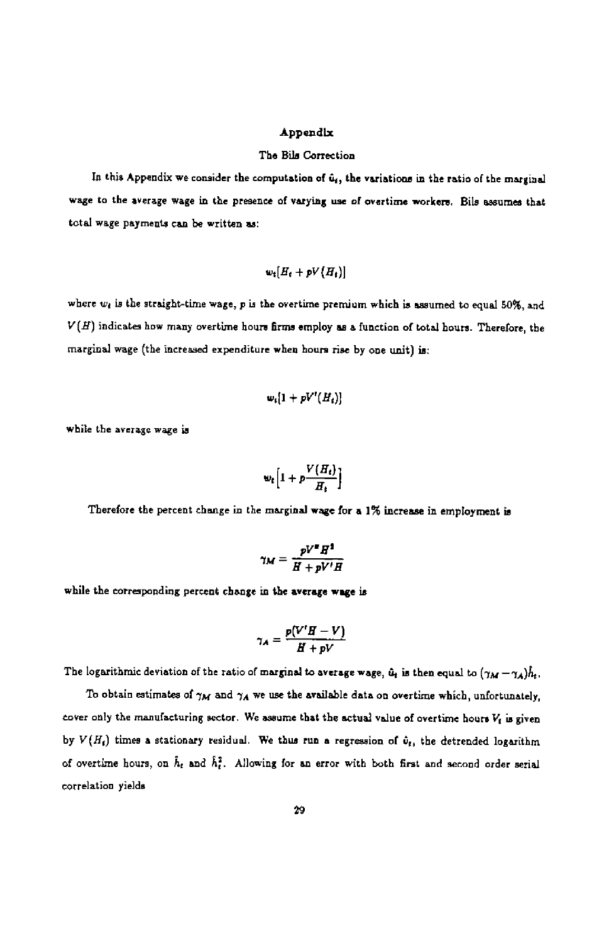#### Appendix

#### The Bile Correction

In this Appendix we consider the computation of  $\hat{u}_i$ , the variations in the ratio of the marginal wage to the average wage in the presence of varying use of overtime workers. Bils assumes that total wage payments can be written as:

$$
w_t[H_t + pV(H_t)]
$$

where  $w_i$  is the straight-time wage, p is the overtime premium which is assumed to equal 50%, and  $V(H)$  indicates how many overtime hours firms employ as a function of total hours. Therefore, the marginal wage (the increased expenditure when hours rise by one unit) is:

$$
w_i[1+pV^\prime(H_i)]
$$

while the average wage is

$$
w_t\left[1+p\frac{V(H_t)}{H_t}\right]
$$

Therefore the percent change in the marginal wage for a 1% increase in employment is

$$
\gamma_M = \frac{pV^*H^2}{H + pV'H}
$$

while the corresponding percent change in the average wage is

$$
\gamma_A = \frac{p(V'H-V)}{H+pV}
$$

The logarithmic deviation of the ratio of marginal to average wage,  $\hat{u}_t$  is then equal to  $(\gamma_M - \gamma_A)\hat{h}_t$ .

To obtain estimates of  $\gamma_M$  and  $\gamma_A$  we use the available data on overtime which, unfortunately, cover only the manufacturing sector. We assume that the actual value of overtime hours  $V_t$  is given by  $V(H_t)$  times a stationary residual. We thus run a regression of  $\hat{v}_t$ , the detrended logarithm of overtime hours, on  $\hat{h}_t$  and  $\hat{h}_t^2$ . Allowing for an error with both first and second order serial correlation yields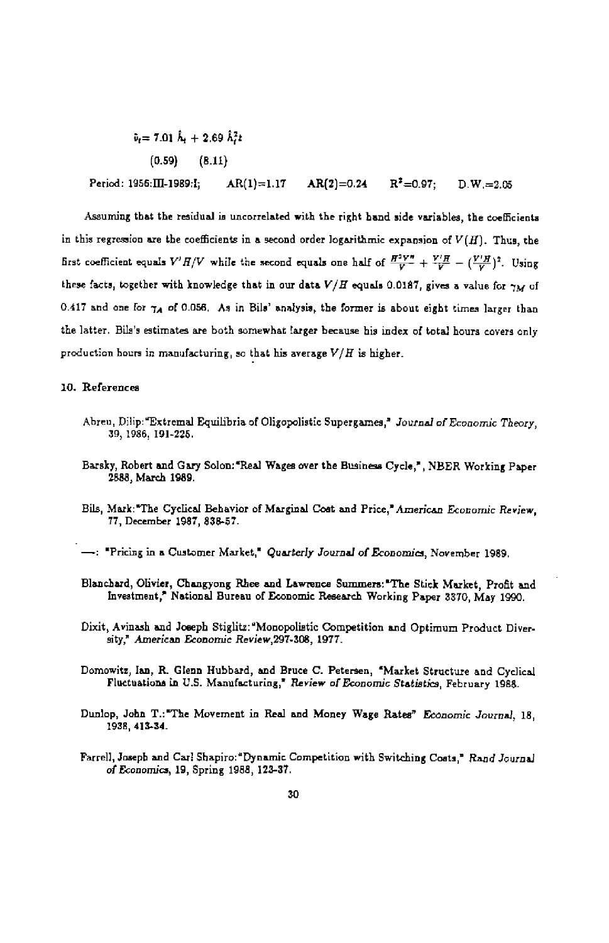$\hat{v}_t = 7.01 \hat{h}_t + 2.69 \hat{h}_t^2 t$ (0.59) (8.11) Period: 1956: $\Pi$ -1989:l;  $AR(1)$ =1.17  $AR(2)=0.24$   $R^2=0.97$ ;  $D.W.=2.05$ 

Assuming that the residual is uncorrelated with the right hand side variables, the coefficients in this regression are the coefficients in a second order logarithmic expansion of  $V(H)$ . Thus, the first coefficient equals  $V'H/V$  while the second equals one half of  $\frac{H^2V''}{V} + \frac{V'H}{V} - (\frac{V'H}{V})^2$ . Using these facts, together with knowledge that in our data  $V/H$  equals 0.0187, gives a value for  $\gamma_M$  of 0.417 and one for  $\gamma_A$  of 0.056. As in Bils' analysis, the former is about eight times larger than the latter. Bils's estimates are both somewhat larger because his index of total hours covers only production hours in manufacturing, so that his average  $V/H$  is higher.

#### 10. References

- Ahreu, Dilip:"Extremal Equilibria of Oligopolistic Supergames,' Journal of Economic Theory, 39, 1986, 191-225.
- Barsky, Robert and Gary Solon: 'Real Wages over the Business Cycle,', NBER Working Paper 2888, March 1989.
- Bils, Mark:"The Cyclical Behavior of Marginal Coat and Price," American Economic Review, 77, December 1987, 838-57.
- -: "Pricing in a Customer Market," Quarterly Journal of Economics, November 1989.
- Blanchard, Olivia, Changynng Rhee and Lawrence Summers: 'The Stick Market, Profit and Investment,' National Bureau of Economic Research Working Paper 3370, May 1990.
- Dixit, Avinash and Joseph Stiglitz:'Monopolistic Competition and Optimum Product Diver- sity,' American Economic Review,297-308, 1977.
- Domowite, Ian, R. Glenn Hubbard, and Bruce C. Petersen, 'Market Structure and Cyclical Fluctuations in U.S. Manufacturing,' Review of Economic Statistics, February 1988.
- Dunlop, John T.: 'The Movement in Real and Money Wage Rates" Economic Journal, 18, 1938, 415-34.
- Farrell, Joseph and Carl Shapiro: "Dynamic Competition with Switching Costs," Rand Journal of Economics, 19, Spring 1988, 123-37.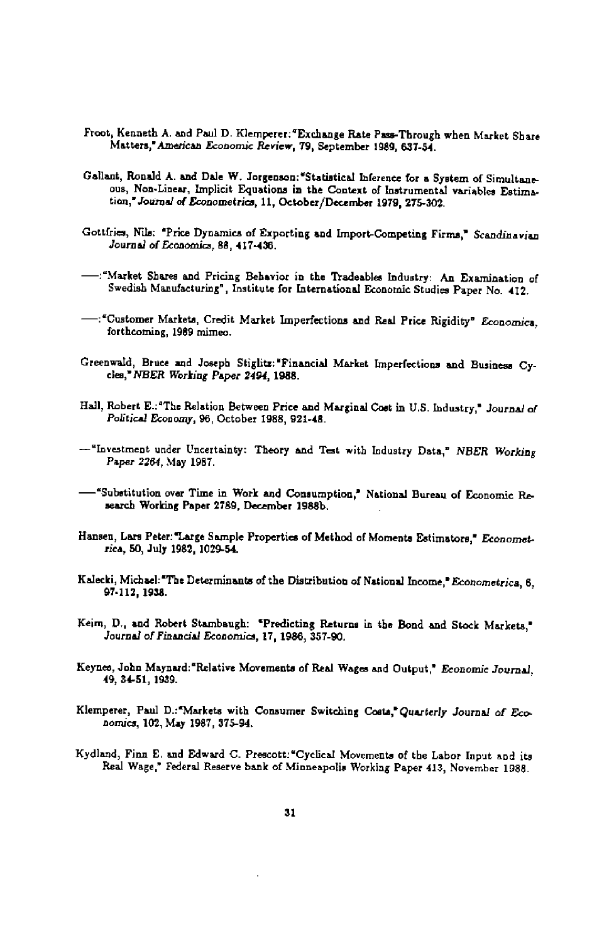- Froot, Kenneth A. and Paul D. Klemperer:'Exchange Rate Pass-Through when Market Share Matters,' American Economic Review, 79, September 1989, 637-54.
- Gallant, Ronald A. and Dale W. Jorgenson: "Statistical Inference for a System of Simultaneous, Non-Linear, implicit Equations in the Context of instrumental variables Estimation,' Journal of Econometrics, 11, October/December 1979, 275-302.
- Gottfries, Nils. "Price Dynamics of Exporting and Import-Competing Firms," Scandinavian Journal of Economies, 88, 417-436.
- —;'Market Shares and Pricing Behavior in the Tradeablea Industry; An Examination of Swedish Manufacturing", Institute for International Economic Studies Paper No. 412.
- —:"Customer Markets, Credit Market Imperfections and Real Price Rigidity" Economics, forthcoming, 1989 mimeo.
- Creenwald, Bruce and Joseph Stiglitz;'Financiai Market imperfections and Business Cycles,' NBER Working Paper 2494, 1988.
- Hall, Robert E.: "The Relation Between Price and Marginal Cost in U.S. Industry," Journal of Political Economy, 96, October 1988, 921-48.
- —'Investment under Uncertainty: Theory and Test with Industry Data,' NBER Working Paper 2264, May 1987.
- —'Substitution over Time in Work and Consumption,' National Bureau of Economic Research Working Paper 2789, December 1988b,
- Hansen, Lars Peter: 'Large Sample Properties of Method of Moments Estimators," Econometrics, 50, July 1982, 1029-54.
- Kalecki, Michael:"The Determinants of the Distribution of National Income," Econometrica, 6, 97-112, 1958.
- Keim, D., and Robert Stambaugb: 'Predicting Returns in the Bond and Stock Markets,' Journal of Financial Economics, 17, 1986, 357-90.
- Keynes, John Msynard:'Relative Movements of Real Wages and Output," Economic Journal, 49, 34-51, 1969.
- Klemperer, Paul D.: Markets with Consumer Switching Costa," Quarterly Journal of Economies, 102, May 1987, 375-94.
- Kydland, Finn E. and Edward C. Prescott:"Cyclical Movements of the Labor Input and its Real Wage," Federal Reserve bank of Minneapolis Working Paper 413, November 1988.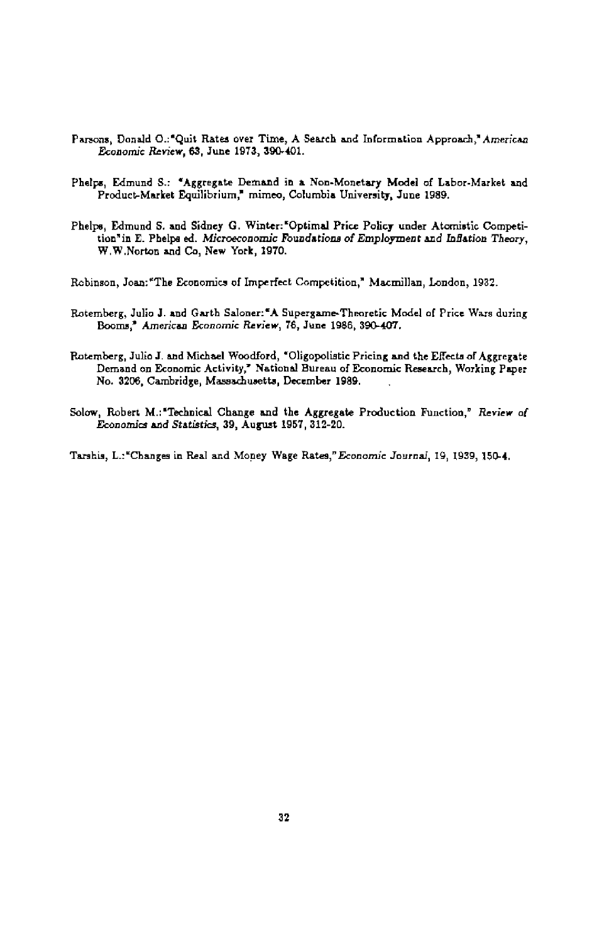- Parsons, Donald O.: "Quit Rates over Time, A Search and Information Approach," American Economic Review, 83, June 1973, 390-401.
- Phelps, Edmund S.; "Aggregate Demand in a Non-Monetary Model of Labor-Market and Product-Market Equilibrium,' mimeo, Columbia University, June 1989.
- Phelps, Edmund S. and Sidney G. Winter: "Optimal Price Policy under Atomistic Competition"in E. Phelps ed. Microeconomic Foundations of Employment and inflation Theory, W.W.Norton and Co, New York, 1970.

Robinson, Joan; "The Economics of Imperfect Competition,' Macmillan, London, 1932.

- Rotemberg, Julio J. and Garth Saloner:"A Supergame-Theoretic Model of Price Wars during Booms,' American Economic Review, 78, June 1986, 390-407.
- Rutemberg, Julio J. and Michael Woodiord, "Oligopoliatic Pricing and the Effects of Aggregate Demand on Economic Activity," National Bureau of Economic Research, Working Paper No. 3206, Cambridge, Massachusetts, December 1989.
- Solow, Robert M.; "Technical Change and the Aggregate Production Function," Review of Economics and Statistics, 39, August 1957, 312-20.

Tarshis, L.:"Changes in Real and Money Wage Rates," Economic Journal, 19, 1939, 150-4.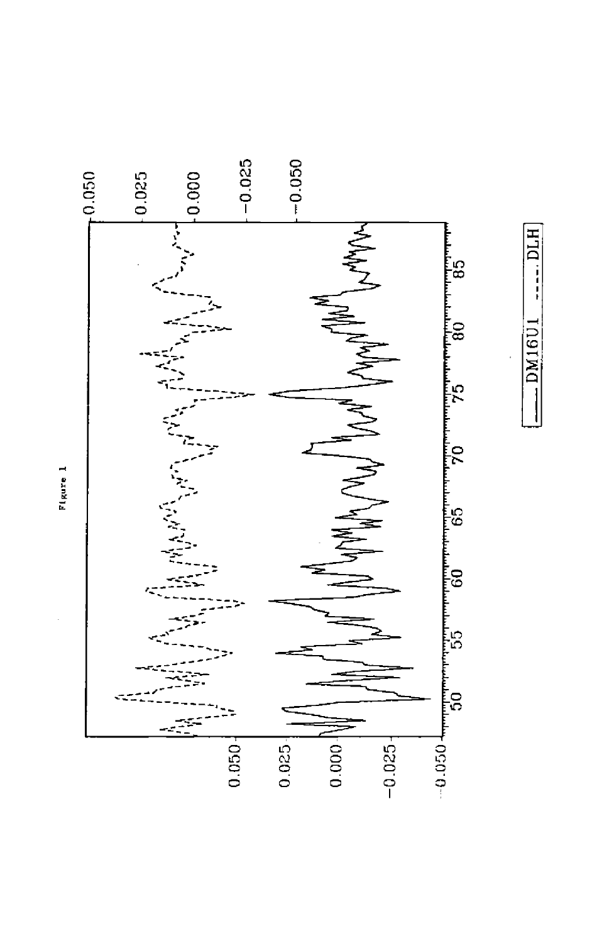

**........** DM16UI.

DM16U1

 $-101H$ 

Figure 1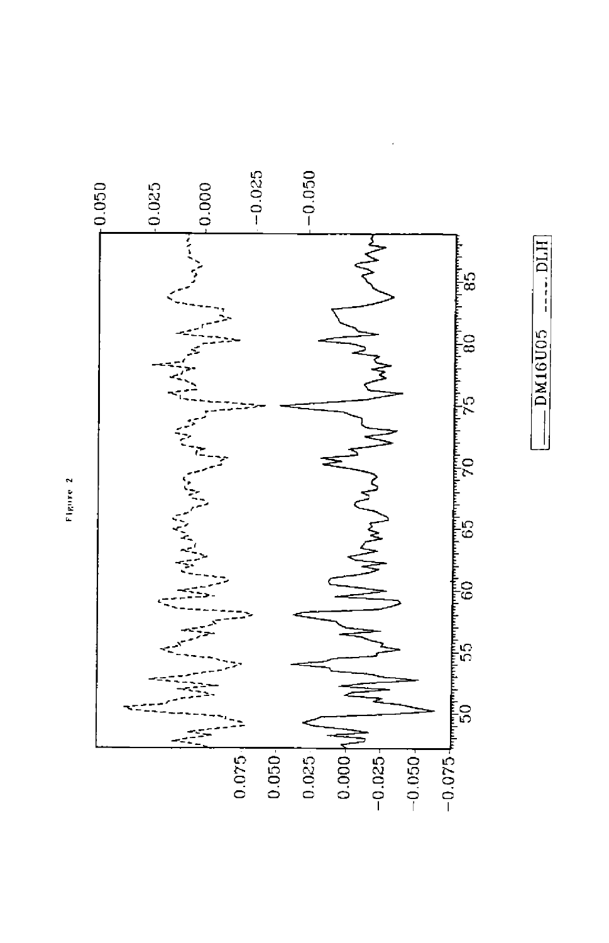

Figure 2

 $---$  DLH  $L = DM16U05$  .... D  $-DM16U05$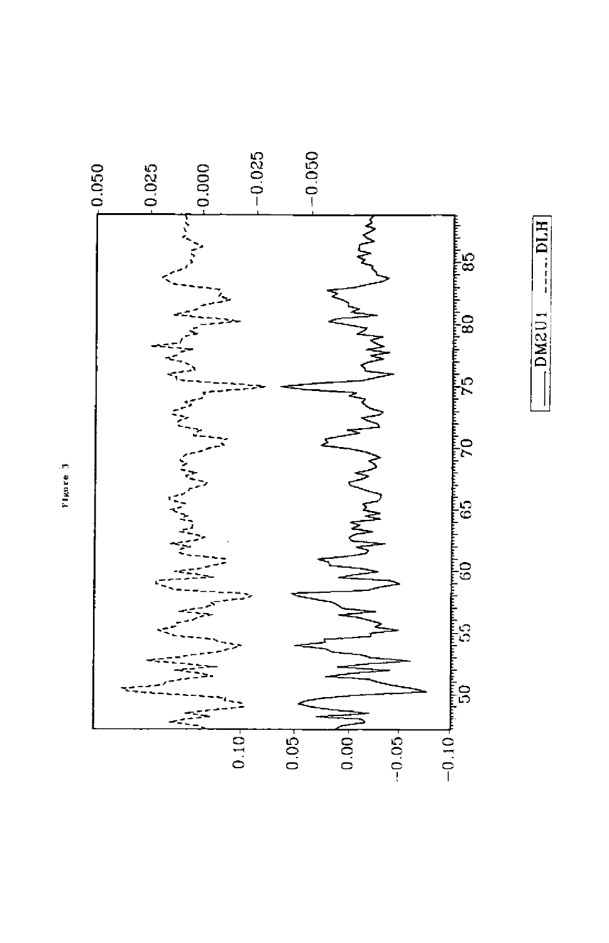

Figure 3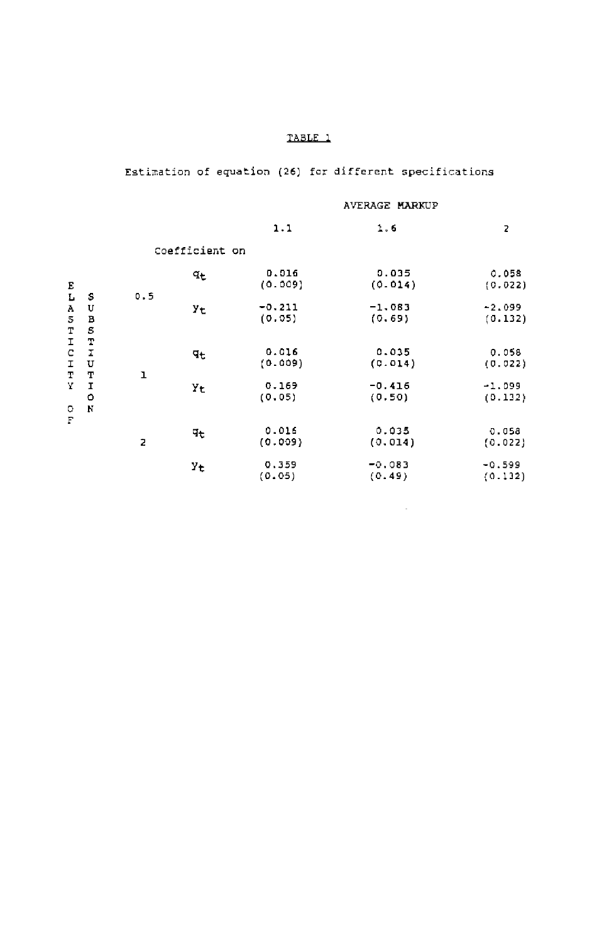# Estimation of equation (26) for different specifications

#### AVERAGE MARKUP

 $\sim 10^{-11}$ 

|                                                |                        |     |                | 1.1                | 1.6                | 2                   |  |
|------------------------------------------------|------------------------|-----|----------------|--------------------|--------------------|---------------------|--|
|                                                |                        |     | Coefficient on |                    |                    |                     |  |
| Ε                                              |                        |     | ٩e             | 0.016<br>(0.009)   | 0.035<br>(0.014)   | 0.058<br>(0.022)    |  |
| L<br>A<br>5<br>T<br>I<br>C<br>I<br>Т<br>Υ<br>о | S<br>U<br>В<br>S       | 0.5 | Уt             | $-0.211$<br>(0.05) | $-1.083$<br>(0.69) | $-2.099$<br>(0.132) |  |
|                                                | $\mathbf T$<br>I<br>U  |     | Чt             | 0.016<br>(0.009)   | 0.035<br>(0.014)   | 0.058<br>(0.022)    |  |
|                                                | т<br>I<br>$\circ$<br>N | ı   | Υt             | 0.169<br>(0.05)    | -0.416<br>(0.50)   | $-1.099$<br>(0.132) |  |
| F                                              |                        | 2   | Чt             | 0.016<br>(0.009)   | 0.035<br>(0.014)   | 0.058<br>(0.022)    |  |
|                                                |                        |     | Уt             | 0.359<br>(0.05)    | $-0.083$<br>(0.49) | $-0.599$<br>(0.132) |  |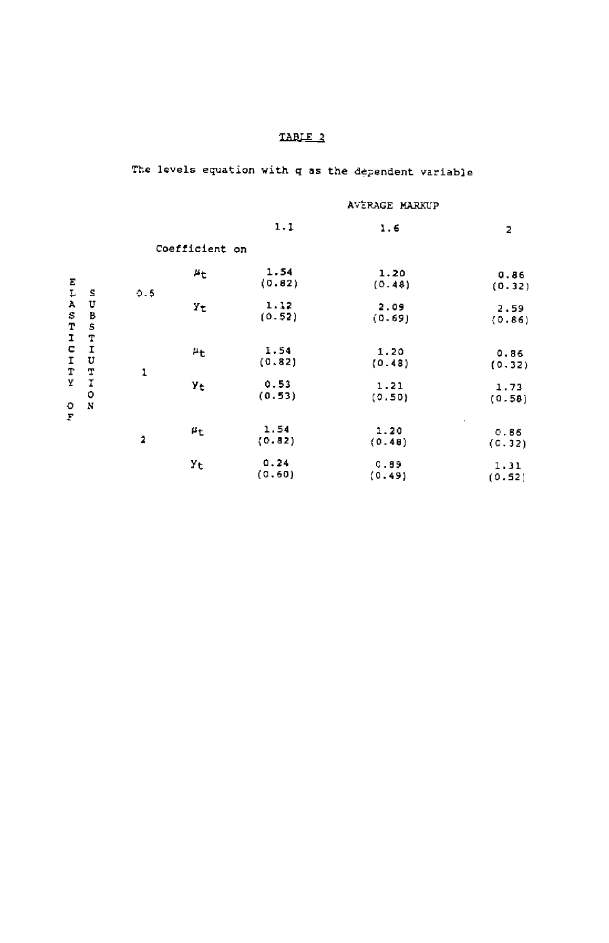The levels equation with q as the dependent variable

# AUtRAGE MARKUP

|                                      |                                                        |                         |                | 1.1            | 1.6            | 2                   |
|--------------------------------------|--------------------------------------------------------|-------------------------|----------------|----------------|----------------|---------------------|
|                                      |                                                        |                         | Coefficient on |                |                |                     |
| Σ<br>Ļ,                              |                                                        | 0.5                     | 马七             | 1.54<br>(0.82) | 1.20<br>(0.48) | 0.86<br>(0.32)      |
| $\mathbf{A}$                         | S<br>U<br>B<br>S<br>$\frac{T}{I}$<br>$\mathbf{U}$<br>T |                         | Υt             | 1.12<br>(0.52) | 2.09<br>(0.69) | 2.59<br>(0.86)      |
| STICIT<br>Y<br>o<br>$\boldsymbol{F}$ |                                                        | 1                       | 4t             | 1.54<br>(0.82) | 1.20<br>(0.48) | 0.86<br>(0.32)      |
|                                      | I<br>О<br>$\mathbf N$                                  |                         | Уt             | 0.53<br>(0.53) | 1.21<br>(0.50) | 1.73<br>(0.58)      |
|                                      |                                                        | $\overline{\mathbf{2}}$ | μt             | 1.54<br>(0.82) | 1.20<br>(0.48) | ٠<br>0.86<br>(0.32) |
|                                      |                                                        |                         | Yt             | 0.24<br>(0.60) | 0.89<br>(0.49) | 1.31<br>(0.52)      |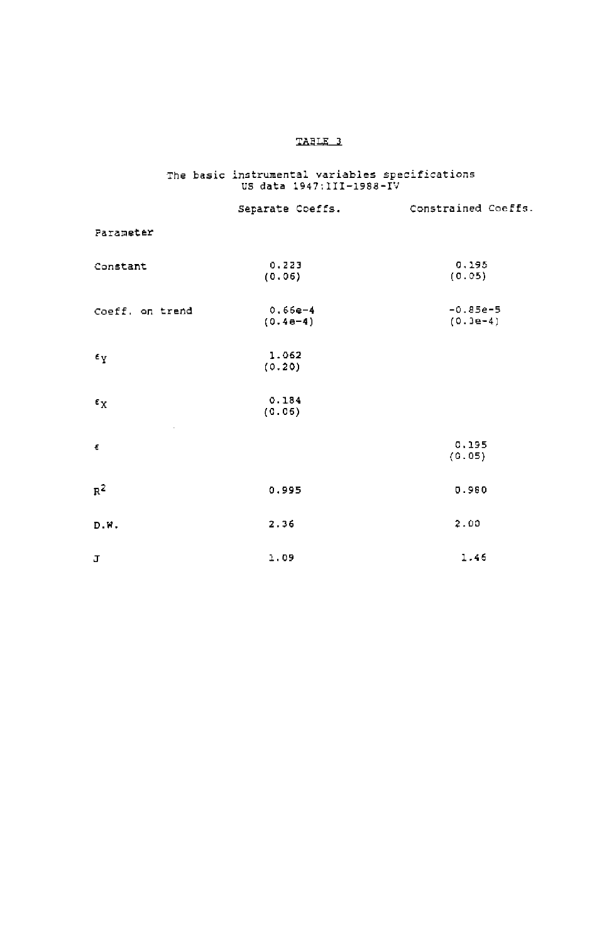# The basic instrumental variables specifications US data 1947:111—1988—lU

|                    | Separate Coeffs.        | Constrained Coeffs.      |
|--------------------|-------------------------|--------------------------|
| Parameter          |                         |                          |
| Constant           | 0.223<br>(0.06)         | 0.195<br>(0.05)          |
| Coeff, on trend    | $0.66e-4$<br>$(0.4e-4)$ | $-0.85e-5$<br>$(0.3e-4)$ |
| $\epsilon_{\rm Y}$ | 1.062<br>(0.20)         |                          |
| $\epsilon_{\rm X}$ | 0.184<br>(0.06)         |                          |
| ŧ                  |                         | 0.195<br>(0.05)          |
| $R^2$              | 0.995                   | 0.980                    |
| D.W.               | 2.36                    | 2.00                     |
| J                  | 1.09                    | 1.46                     |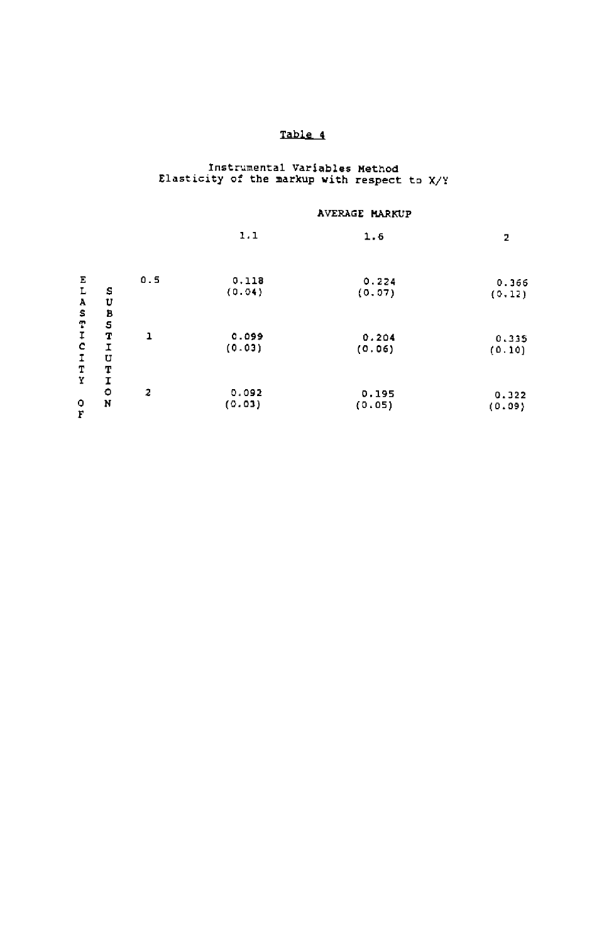# Table 4

# Instrumental Variables Method Elasticity of the markup with respect to X/Y

## AVERAGE MARKUP

|                                            |             |     | 1.1    | 1.6    | 2       |  |
|--------------------------------------------|-------------|-----|--------|--------|---------|--|
|                                            |             |     |        |        |         |  |
| Ε                                          |             | 0.5 | 0.118  | 0.224  | 0.366   |  |
| L                                          | s           |     | (0.04) | (0.07) | (0, 12) |  |
| A                                          | U           |     |        |        |         |  |
|                                            | В           |     |        |        |         |  |
| $\begin{array}{c} 9 \\ 4 \\ 1 \end{array}$ | $\mathbb S$ |     |        |        |         |  |
|                                            | T           | 1   | 0.099  | 0.204  | 0.335   |  |
|                                            | I           |     | (0.03) | (0.06) | (0.10)  |  |
| I                                          | U           |     |        |        |         |  |
| $\mathbf T$                                | T           |     |        |        |         |  |
| Y                                          | I           |     |        |        |         |  |
|                                            | ۰           | 2   | 0.092  | 0.195  | 0.322   |  |
| o<br>F                                     | N           |     | (0.03) | (0.05) | (0.09)  |  |
|                                            |             |     |        |        |         |  |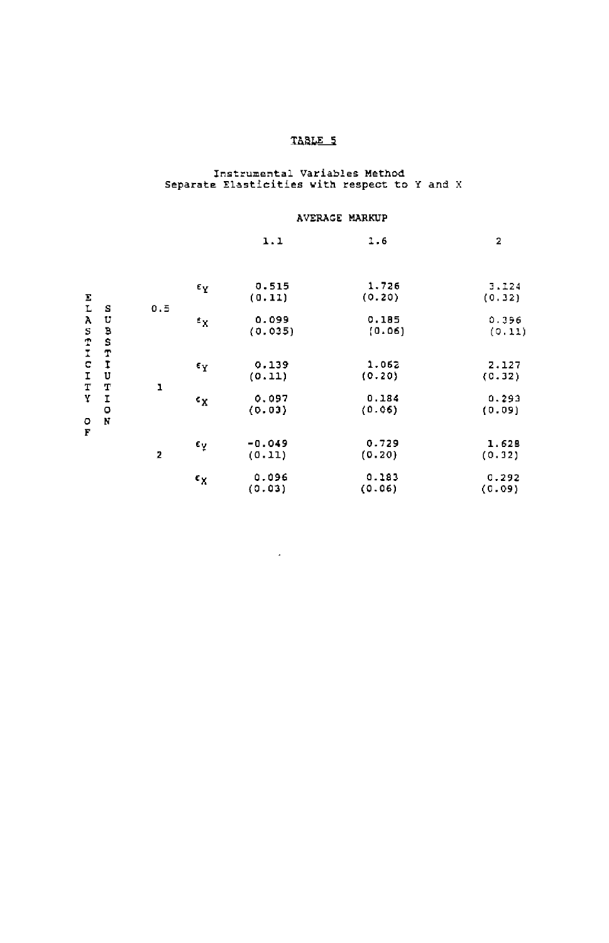# Instrunental Variables Method Separate Elasticities with respect to I and X

## AVEflGE MARKUP

|                         |                       |     |                    | 1.1                | 1.6             | $\overline{\mathbf{2}}$ |  |
|-------------------------|-----------------------|-----|--------------------|--------------------|-----------------|-------------------------|--|
| $_{\rm L}^{\rm E}$      |                       |     | εy                 | 0.515<br>(0.11)    | 1.726<br>(0.20) | 3.124<br>(0.32)         |  |
| Α<br>s<br>T<br>I<br>C   | S<br>Ù<br>B<br>S<br>T | 0.5 | $\epsilon_{\rm X}$ | 0.099<br>(0.035)   | 0.185<br>(0.06) | 0.396<br>(0.11)         |  |
| $\mathbf I$<br>т        | I<br>U<br>T           | ı   | $\epsilon_{\rm Y}$ | 0.139<br>(0.11)    | 1.062<br>(0.20) | 2.127<br>(0.32)         |  |
| Y<br>о                  | I<br>٥<br>N           |     | $\epsilon_{\rm X}$ | 0.097<br>(0.03)    | 0.184<br>(0.06) | 0.293<br>(0.09)         |  |
| $\overline{\mathbf{F}}$ |                       | 2   | εy                 | $-0.049$<br>(0.11) | 0.729<br>(0.20) | 1.628<br>(0.32)         |  |
|                         |                       |     | ٤x                 | 0.096<br>(0.03)    | 0.183<br>(0.06) | 0.292<br>(0.09)         |  |

 $\sim 10^{-1}$